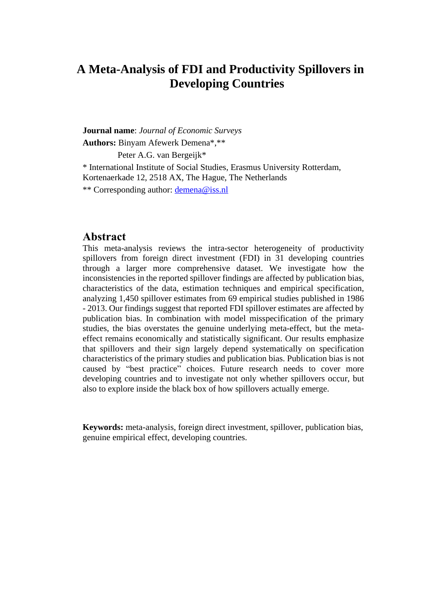# **A Meta-Analysis of FDI and Productivity Spillovers in Developing Countries**

**Journal name**: *Journal of Economic Surveys*

**Authors:** Binyam Afewerk Demena\*,\*\*

Peter A.G. van Bergeijk\*

\* International Institute of Social Studies, Erasmus University Rotterdam, Kortenaerkade 12, 2518 AX, The Hague, The Netherlands

\*\* Corresponding author: [demena@iss.nl](mailto:demena@iss.nl)

# **Abstract**

This meta-analysis reviews the intra-sector heterogeneity of productivity spillovers from foreign direct investment (FDI) in 31 developing countries through a larger more comprehensive dataset. We investigate how the inconsistencies in the reported spillover findings are affected by publication bias, characteristics of the data, estimation techniques and empirical specification, analyzing 1,450 spillover estimates from 69 empirical studies published in 1986 - 2013. Our findings suggest that reported FDI spillover estimates are affected by publication bias. In combination with model misspecification of the primary studies, the bias overstates the genuine underlying meta-effect, but the metaeffect remains economically and statistically significant. Our results emphasize that spillovers and their sign largely depend systematically on specification characteristics of the primary studies and publication bias. Publication bias is not caused by "best practice" choices. Future research needs to cover more developing countries and to investigate not only whether spillovers occur, but also to explore inside the black box of how spillovers actually emerge.

**Keywords:** meta-analysis, foreign direct investment, spillover, publication bias, genuine empirical effect, developing countries.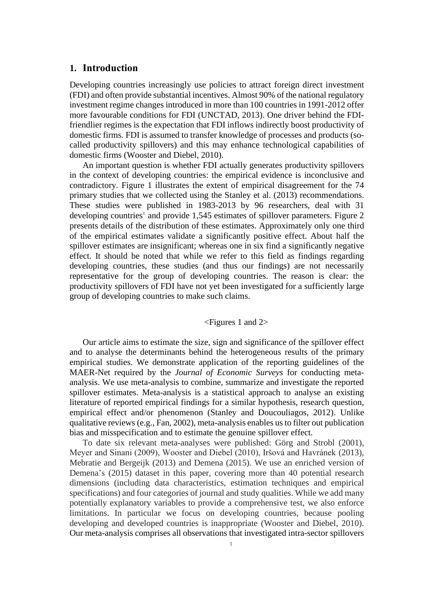## **1. Introduction**

Developing countries increasingly use policies to attract foreign direct investment (FDI) and often provide substantial incentives. Almost 90% of the national regulatory investment regime changes introduced in more than 100 countries in 1991-2012 offer more favourable conditions for FDI (UNCTAD, 2013). One driver behind the FDIfriendlier regimes is the expectation that FDI inflows indirectly boost productivity of domestic firms. FDI is assumed to transfer knowledge of processes and products (socalled productivity spillovers) and this may enhance technological capabilities of domestic firms (Wooster and Diebel, 2010).

An important question is whether FDI actually generates productivity spillovers in the context of developing countries: the empirical evidence is inconclusive and contradictory. Figure 1 illustrates the extent of empirical disagreement for the 74 primary studies that we collected using the Stanley et al. (2013) recommendations. These studies were published in 1983-2013 by 96 researchers, deal with 31 developing countries<sup>1</sup> and provide 1,545 estimates of spillover parameters. Figure 2 presents details of the distribution of these estimates. Approximately only one third of the empirical estimates validate a significantly positive effect. About half the spillover estimates are insignificant; whereas one in six find a significantly negative effect. It should be noted that while we refer to this field as findings regarding developing countries, these studies (and thus our findings) are not necessarily representative for the group of developing countries. The reason is clear: the productivity spillovers of FDI have not yet been investigated for a sufficiently large group of developing countries to make such claims.

## <Figures 1 and 2>

Our article aims to estimate the size, sign and significance of the spillover effect and to analyse the determinants behind the heterogeneous results of the primary empirical studies. We demonstrate application of the reporting guidelines of the MAER-Net required by the *Journal of Economic Surveys* for conducting metaanalysis. We use meta-analysis to combine, summarize and investigate the reported spillover estimates. Meta-analysis is a statistical approach to analyse an existing literature of reported empirical findings for a similar hypothesis, research question, empirical effect and/or phenomenon (Stanley and Doucouliagos, 2012). Unlike qualitative reviews (e.g., Fan, 2002), meta-analysis enables usto filter out publication bias and misspecification and to estimate the genuine spillover effect.

To date six relevant meta-analyses were published: Görg and Strobl (2001), Meyer and Sinani (2009), Wooster and Diebel (2010), Iršová and Havránek (2013), Mebratie and Bergeijk (2013) and Demena (2015). We use an enriched version of Demena's (2015) dataset in this paper, covering more than 40 potential research dimensions (including data characteristics, estimation techniques and empirical specifications) and four categories of journal and study qualities. While we add many potentially explanatory variables to provide a comprehensive test, we also enforce limitations. In particular we focus on developing countries, because pooling developing and developed countries is inappropriate (Wooster and Diebel, 2010). Our meta-analysis comprises all observations that investigated intra-sector spillovers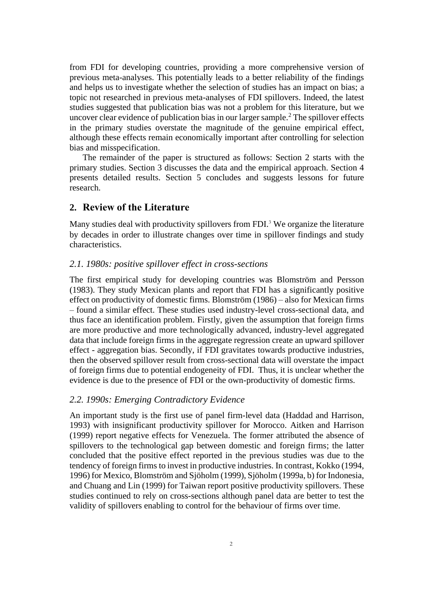from FDI for developing countries, providing a more comprehensive version of previous meta-analyses. This potentially leads to a better reliability of the findings and helps us to investigate whether the selection of studies has an impact on bias; a topic not researched in previous meta-analyses of FDI spillovers. Indeed, the latest studies suggested that publication bias was not a problem for this literature, but we uncover clear evidence of publication bias in our larger sample. <sup>2</sup> The spillover effects in the primary studies overstate the magnitude of the genuine empirical effect, although these effects remain economically important after controlling for selection bias and misspecification.

The remainder of the paper is structured as follows: Section 2 starts with the primary studies. Section 3 discusses the data and the empirical approach. Section 4 presents detailed results. Section 5 concludes and suggests lessons for future research.

## **2. Review of the Literature**

Many studies deal with productivity spillovers from FDI.<sup>3</sup> We organize the literature by decades in order to illustrate changes over time in spillover findings and study characteristics.

#### *2.1. 1980s: positive spillover effect in cross-sections*

The first empirical study for developing countries was Blomström and Persson (1983). They study Mexican plants and report that FDI has a significantly positive effect on productivity of domestic firms. Blomström (1986) – also for Mexican firms – found a similar effect. These studies used industry-level cross-sectional data, and thus face an identification problem. Firstly, given the assumption that foreign firms are more productive and more technologically advanced, industry-level aggregated data that include foreign firms in the aggregate regression create an upward spillover effect - aggregation bias. Secondly, if FDI gravitates towards productive industries, then the observed spillover result from cross-sectional data will overstate the impact of foreign firms due to potential endogeneity of FDI. Thus, it is unclear whether the evidence is due to the presence of FDI or the own-productivity of domestic firms.

## *2.2. 1990s: Emerging Contradictory Evidence*

An important study is the first use of panel firm-level data (Haddad and Harrison, 1993) with insignificant productivity spillover for Morocco. Aitken and Harrison (1999) report negative effects for Venezuela. The former attributed the absence of spillovers to the technological gap between domestic and foreign firms; the latter concluded that the positive effect reported in the previous studies was due to the tendency of foreign firms to invest in productive industries. In contrast, Kokko (1994, 1996) for Mexico, Blomström and Sjöholm (1999), Sjöholm (1999a, b) for Indonesia, and Chuang and Lin (1999) for Taiwan report positive productivity spillovers. These studies continued to rely on cross-sections although panel data are better to test the validity of spillovers enabling to control for the behaviour of firms over time.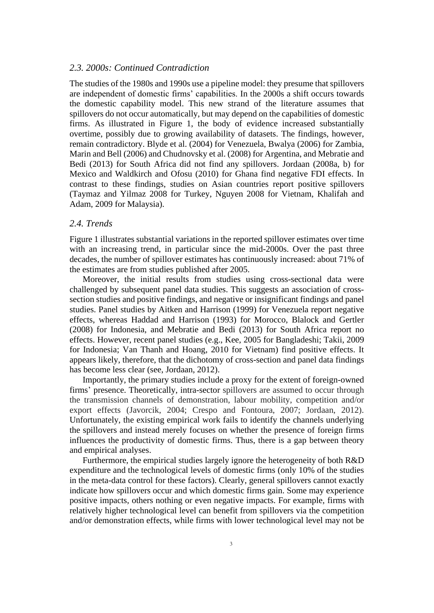## *2.3. 2000s: Continued Contradiction*

The studies of the 1980s and 1990s use a pipeline model: they presume that spillovers are independent of domestic firms' capabilities. In the 2000s a shift occurs towards the domestic capability model. This new strand of the literature assumes that spillovers do not occur automatically, but may depend on the capabilities of domestic firms. As illustrated in Figure 1, the body of evidence increased substantially overtime, possibly due to growing availability of datasets. The findings, however, remain contradictory. Blyde et al. (2004) for Venezuela, Bwalya (2006) for Zambia, Marin and Bell (2006) and Chudnovsky et al. (2008) for Argentina, and Mebratie and Bedi (2013) for South Africa did not find any spillovers. Jordaan (2008a, b) for Mexico and Waldkirch and Ofosu (2010) for Ghana find negative FDI effects. In contrast to these findings, studies on Asian countries report positive spillovers (Taymaz and Yilmaz 2008 for Turkey, Nguyen 2008 for Vietnam, Khalifah and Adam, 2009 for Malaysia).

## *2.4. Trends*

Figure 1 illustrates substantial variations in the reported spillover estimates over time with an increasing trend, in particular since the mid-2000s. Over the past three decades, the number of spillover estimates has continuously increased: about 71% of the estimates are from studies published after 2005.

Moreover, the initial results from studies using cross-sectional data were challenged by subsequent panel data studies. This suggests an association of crosssection studies and positive findings, and negative or insignificant findings and panel studies. Panel studies by Aitken and Harrison (1999) for Venezuela report negative effects, whereas Haddad and Harrison (1993) for Morocco, Blalock and Gertler (2008) for Indonesia, and Mebratie and Bedi (2013) for South Africa report no effects. However, recent panel studies (e.g., Kee, 2005 for Bangladeshi; Takii, 2009 for Indonesia; Van Thanh and Hoang, 2010 for Vietnam) find positive effects. It appears likely, therefore, that the dichotomy of cross-section and panel data findings has become less clear (see, Jordaan, 2012).

Importantly, the primary studies include a proxy for the extent of foreign-owned firms' presence. Theoretically, intra-sector spillovers are assumed to occur through the transmission channels of demonstration, labour mobility, competition and/or export effects (Javorcik, 2004; Crespo and Fontoura, 2007; Jordaan, 2012). Unfortunately, the existing empirical work fails to identify the channels underlying the spillovers and instead merely focuses on whether the presence of foreign firms influences the productivity of domestic firms. Thus, there is a gap between theory and empirical analyses.

Furthermore, the empirical studies largely ignore the heterogeneity of both R&D expenditure and the technological levels of domestic firms (only 10% of the studies in the meta-data control for these factors). Clearly, general spillovers cannot exactly indicate how spillovers occur and which domestic firms gain. Some may experience positive impacts, others nothing or even negative impacts. For example, firms with relatively higher technological level can benefit from spillovers via the competition and/or demonstration effects, while firms with lower technological level may not be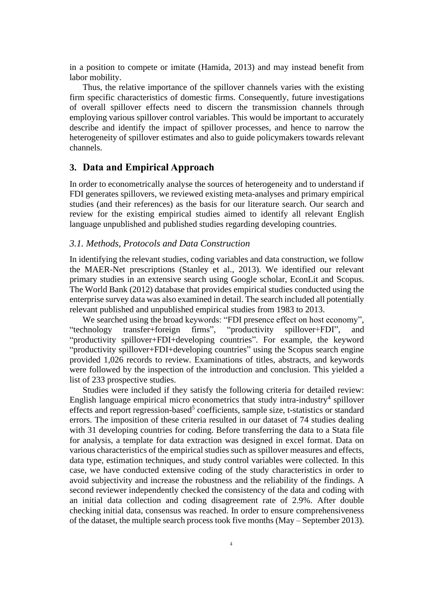in a position to compete or imitate (Hamida, 2013) and may instead benefit from labor mobility.

Thus, the relative importance of the spillover channels varies with the existing firm specific characteristics of domestic firms. Consequently, future investigations of overall spillover effects need to discern the transmission channels through employing various spillover control variables. This would be important to accurately describe and identify the impact of spillover processes, and hence to narrow the heterogeneity of spillover estimates and also to guide policymakers towards relevant channels.

## **3. Data and Empirical Approach**

In order to econometrically analyse the sources of heterogeneity and to understand if FDI generates spillovers, we reviewed existing meta-analyses and primary empirical studies (and their references) as the basis for our literature search. Our search and review for the existing empirical studies aimed to identify all relevant English language unpublished and published studies regarding developing countries.

## *3.1. Methods, Protocols and Data Construction*

In identifying the relevant studies, coding variables and data construction, we follow the MAER-Net prescriptions (Stanley et al., 2013). We identified our relevant primary studies in an extensive search using Google scholar, EconLit and Scopus. The World Bank (2012) database that provides empirical studies conducted using the enterprise survey data was also examined in detail. The search included all potentially relevant published and unpublished empirical studies from 1983 to 2013.

We searched using the broad keywords: "FDI presence effect on host economy", "technology transfer+foreign firms", "productivity spillover+FDI", and "productivity spillover+FDI+developing countries". For example, the keyword "productivity spillover+FDI+developing countries" using the Scopus search engine provided 1,026 records to review. Examinations of titles, abstracts, and keywords were followed by the inspection of the introduction and conclusion. This yielded a list of 233 prospective studies.

Studies were included if they satisfy the following criteria for detailed review: English language empirical micro econometrics that study intra-industry<sup>4</sup> spillover effects and report regression-based<sup>5</sup> coefficients, sample size, t-statistics or standard errors. The imposition of these criteria resulted in our dataset of 74 studies dealing with 31 developing countries for coding. Before transferring the data to a Stata file for analysis, a template for data extraction was designed in excel format. Data on various characteristics of the empirical studies such as spillover measures and effects, data type, estimation techniques, and study control variables were collected. In this case, we have conducted extensive coding of the study characteristics in order to avoid subjectivity and increase the robustness and the reliability of the findings. A second reviewer independently checked the consistency of the data and coding with an initial data collection and coding disagreement rate of 2.9%. After double checking initial data, consensus was reached. In order to ensure comprehensiveness of the dataset, the multiple search process took five months (May – September 2013).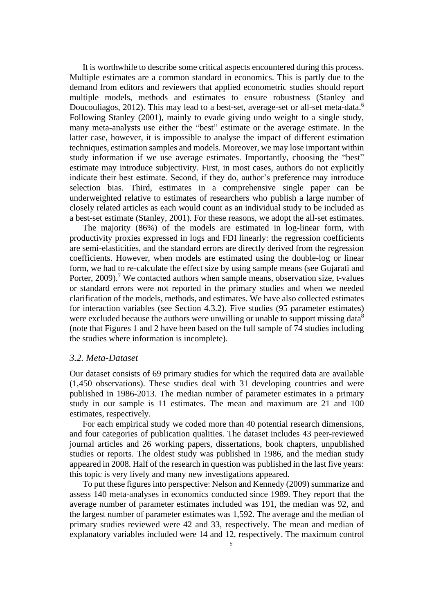It is worthwhile to describe some critical aspects encountered during this process. Multiple estimates are a common standard in economics. This is partly due to the demand from editors and reviewers that applied econometric studies should report multiple models, methods and estimates to ensure robustness (Stanley and Doucouliagos, 2012). This may lead to a best-set, average-set or all-set meta-data.<sup>6</sup> Following Stanley (2001), mainly to evade giving undo weight to a single study, many meta-analysts use either the "best" estimate or the average estimate. In the latter case, however, it is impossible to analyse the impact of different estimation techniques, estimation samples and models. Moreover, we may lose important within study information if we use average estimates. Importantly, choosing the "best" estimate may introduce subjectivity. First, in most cases, authors do not explicitly indicate their best estimate. Second, if they do, author's preference may introduce selection bias. Third, estimates in a comprehensive single paper can be underweighted relative to estimates of researchers who publish a large number of closely related articles as each would count as an individual study to be included as a best-set estimate (Stanley, 2001). For these reasons, we adopt the all-set estimates.

The majority (86%) of the models are estimated in log-linear form, with productivity proxies expressed in logs and FDI linearly: the regression coefficients are semi-elasticities, and the standard errors are directly derived from the regression coefficients. However, when models are estimated using the double-log or linear form, we had to re-calculate the effect size by using sample means (see Gujarati and Porter, 2009).<sup>7</sup> We contacted authors when sample means, observation size, t-values or standard errors were not reported in the primary studies and when we needed clarification of the models, methods, and estimates. We have also collected estimates for interaction variables (see Section 4.3.2). Five studies (95 parameter estimates) were excluded because the authors were unwilling or unable to support missing data<sup>8</sup> (note that Figures 1 and 2 have been based on the full sample of 74 studies including the studies where information is incomplete).

#### *3.2. Meta-Dataset*

Our dataset consists of 69 primary studies for which the required data are available (1,450 observations). These studies deal with 31 developing countries and were published in 1986-2013. The median number of parameter estimates in a primary study in our sample is 11 estimates. The mean and maximum are 21 and 100 estimates, respectively.

For each empirical study we coded more than 40 potential research dimensions, and four categories of publication qualities. The dataset includes 43 peer-reviewed journal articles and 26 working papers, dissertations, book chapters, unpublished studies or reports. The oldest study was published in 1986, and the median study appeared in 2008. Half of the research in question was published in the last five years: this topic is very lively and many new investigations appeared.

To put these figures into perspective: Nelson and Kennedy (2009) summarize and assess 140 meta-analyses in economics conducted since 1989. They report that the average number of parameter estimates included was 191, the median was 92, and the largest number of parameter estimates was 1,592. The average and the median of primary studies reviewed were 42 and 33, respectively. The mean and median of explanatory variables included were 14 and 12, respectively. The maximum control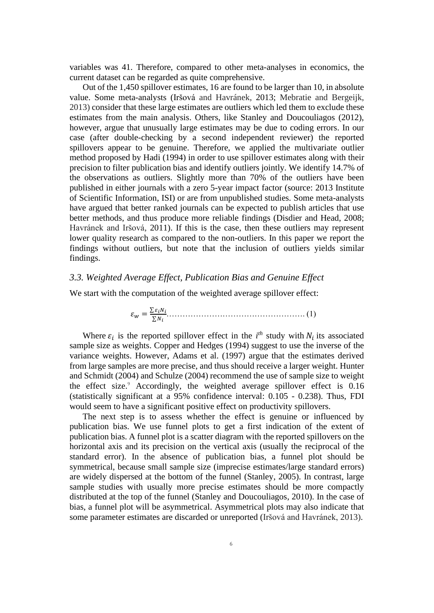variables was 41. Therefore, compared to other meta-analyses in economics, the current dataset can be regarded as quite comprehensive.

Out of the 1,450 spillover estimates, 16 are found to be larger than 10, in absolute value. Some meta-analysts (Iršová and Havránek, 2013; Mebratie and Bergeijk, 2013) consider that these large estimates are outliers which led them to exclude these estimates from the main analysis. Others, like Stanley and Doucouliagos (2012), however, argue that unusually large estimates may be due to coding errors. In our case (after double-checking by a second independent reviewer) the reported spillovers appear to be genuine. Therefore, we applied the multivariate outlier method proposed by Hadi (1994) in order to use spillover estimates along with their precision to filter publication bias and identify outliers jointly. We identify 14.7% of the observations as outliers. Slightly more than 70% of the outliers have been published in either journals with a zero 5-year impact factor (source: 2013 Institute of Scientific Information, ISI) or are from unpublished studies. Some meta-analysts have argued that better ranked journals can be expected to publish articles that use better methods, and thus produce more reliable findings (Disdier and Head, 2008; Havránek and Iršová, 2011). If this is the case, then these outliers may represent lower quality research as compared to the non-outliers. In this paper we report the findings without outliers, but note that the inclusion of outliers yields similar findings.

## *3.3. Weighted Average Effect, Publication Bias and Genuine Effect*

We start with the computation of the weighted average spillover effect:

 = ∑ ∑ ……………………………………………. (1)

Where  $\varepsilon_i$  is the reported spillover effect in the  $i^{th}$  study with  $N_i$  its associated sample size as weights. Copper and Hedges (1994) suggest to use the inverse of the variance weights. However, Adams et al. (1997) argue that the estimates derived from large samples are more precise, and thus should receive a larger weight. Hunter and Schmidt (2004) and Schulze (2004) recommend the use of sample size to weight the effect size. <sup>9</sup> Accordingly, the weighted average spillover effect is 0.16 (statistically significant at a 95% confidence interval: 0.105 - 0.238). Thus, FDI would seem to have a significant positive effect on productivity spillovers.

The next step is to assess whether the effect is genuine or influenced by publication bias. We use funnel plots to get a first indication of the extent of publication bias. A funnel plot is a scatter diagram with the reported spillovers on the horizontal axis and its precision on the vertical axis (usually the reciprocal of the standard error). In the absence of publication bias, a funnel plot should be symmetrical, because small sample size (imprecise estimates/large standard errors) are widely dispersed at the bottom of the funnel (Stanley, 2005). In contrast, large sample studies with usually more precise estimates should be more compactly distributed at the top of the funnel (Stanley and Doucouliagos, 2010). In the case of bias, a funnel plot will be asymmetrical. Asymmetrical plots may also indicate that some parameter estimates are discarded or unreported (Iršová and Havránek, 2013).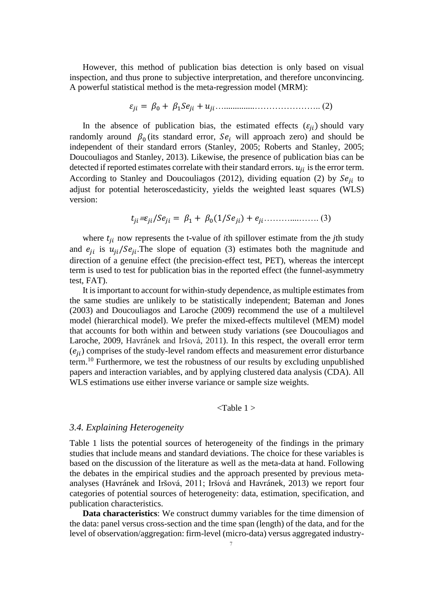However, this method of publication bias detection is only based on visual inspection, and thus prone to subjective interpretation, and therefore unconvincing. A powerful statistical method is the meta-regression model (MRM):

= <sup>0</sup> + 1 + …..............………………….. (2)

In the absence of publication bias, the estimated effects  $(\varepsilon_{ii})$  should vary randomly around  $\beta_0$  (its standard error,  $Se_i$  will approach zero) and should be independent of their standard errors (Stanley, 2005; Roberts and Stanley, 2005; Doucouliagos and Stanley, 2013). Likewise, the presence of publication bias can be detected if reported estimates correlate with their standard errors.  $u_{ji}$  is the error term. According to Stanley and Doucouliagos (2012), dividing equation (2) by  $Se_{ii}$  to adjust for potential heteroscedasticity, yields the weighted least squares (WLS) version:

/ = <sup>1</sup> + 0(1/) + ………....……. (3)

where  $t_{ji}$  now represents the t-value of *i*th spillover estimate from the *j*th study and  $e_{ii}$  is  $u_{ii}/Se_{ii}$ . The slope of equation (3) estimates both the magnitude and direction of a genuine effect (the precision-effect test, PET), whereas the intercept term is used to test for publication bias in the reported effect (the funnel-asymmetry test, FAT).

It is important to account for within-study dependence, as multiple estimates from the same studies are unlikely to be statistically independent; Bateman and Jones (2003) and Doucouliagos and Laroche (2009) recommend the use of a multilevel model (hierarchical model). We prefer the mixed-effects multilevel (MEM) model that accounts for both within and between study variations (see Doucouliagos and Laroche, 2009, Havránek and Iršová, 2011). In this respect, the overall error term  $(e_{ii})$  comprises of the study-level random effects and measurement error disturbance term.<sup>10</sup> Furthermore, we test the robustness of our results by excluding unpublished papers and interaction variables, and by applying clustered data analysis (CDA). All WLS estimations use either inverse variance or sample size weights.

#### $\langle$ Table 1  $>$

## *3.4. Explaining Heterogeneity*

Table 1 lists the potential sources of heterogeneity of the findings in the primary studies that include means and standard deviations. The choice for these variables is based on the discussion of the literature as well as the meta-data at hand. Following the debates in the empirical studies and the approach presented by previous metaanalyses (Havránek and Iršová, 2011; Iršová and Havránek, 2013) we report four categories of potential sources of heterogeneity: data, estimation, specification, and publication characteristics.

**Data characteristics**: We construct dummy variables for the time dimension of the data: panel versus cross-section and the time span (length) of the data, and for the level of observation/aggregation: firm-level (micro-data) versus aggregated industry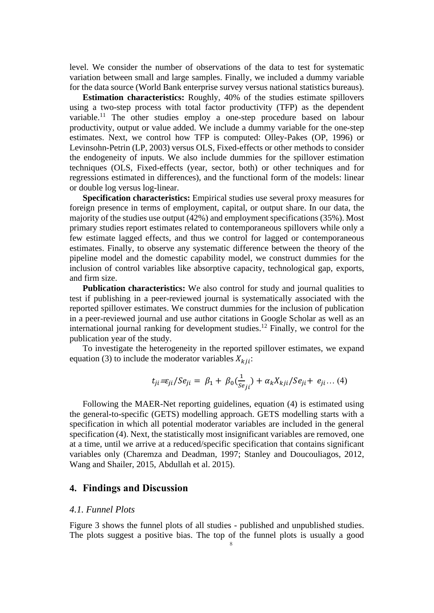level. We consider the number of observations of the data to test for systematic variation between small and large samples. Finally, we included a dummy variable for the data source (World Bank enterprise survey versus national statistics bureaus).

**Estimation characteristics:** Roughly, 40% of the studies estimate spillovers using a two-step process with total factor productivity (TFP) as the dependent variable.<sup>11</sup> The other studies employ a one-step procedure based on labour productivity, output or value added. We include a dummy variable for the one-step estimates. Next, we control how TFP is computed: Olley-Pakes (OP, 1996) or Levinsohn-Petrin (LP, 2003) versus OLS, Fixed-effects or other methods to consider the endogeneity of inputs. We also include dummies for the spillover estimation techniques (OLS, Fixed-effects (year, sector, both) or other techniques and for regressions estimated in differences), and the functional form of the models: linear or double log versus log-linear.

**Specification characteristics:** Empirical studies use several proxy measures for foreign presence in terms of employment, capital, or output share. In our data, the majority of the studies use output (42%) and employment specifications (35%). Most primary studies report estimates related to contemporaneous spillovers while only a few estimate lagged effects, and thus we control for lagged or contemporaneous estimates. Finally, to observe any systematic difference between the theory of the pipeline model and the domestic capability model, we construct dummies for the inclusion of control variables like absorptive capacity, technological gap, exports, and firm size.

**Publication characteristics:** We also control for study and journal qualities to test if publishing in a peer-reviewed journal is systematically associated with the reported spillover estimates. We construct dummies for the inclusion of publication in a peer-reviewed journal and use author citations in Google Scholar as well as an international journal ranking for development studies. <sup>12</sup> Finally, we control for the publication year of the study.

To investigate the heterogeneity in the reported spillover estimates, we expand equation (3) to include the moderator variables  $X_{kji}$ :

$$
t_{ji} = \varepsilon_{ji} / S e_{ji} = \beta_1 + \beta_0 \left( \frac{1}{s e_{ji}} \right) + \alpha_k X_{kji} / S e_{ji} + e_{ji} \dots (4)
$$

Following the MAER-Net reporting guidelines, equation (4) is estimated using the general-to-specific (GETS) modelling approach. GETS modelling starts with a specification in which all potential moderator variables are included in the general specification (4). Next, the statistically most insignificant variables are removed, one at a time, until we arrive at a reduced/specific specification that contains significant variables only (Charemza and Deadman, 1997; Stanley and Doucouliagos, 2012, Wang and Shailer, 2015, Abdullah et al. 2015).

## **4. Findings and Discussion**

## *4.1. Funnel Plots*

Figure 3 shows the funnel plots of all studies - published and unpublished studies. The plots suggest a positive bias. The top of the funnel plots is usually a good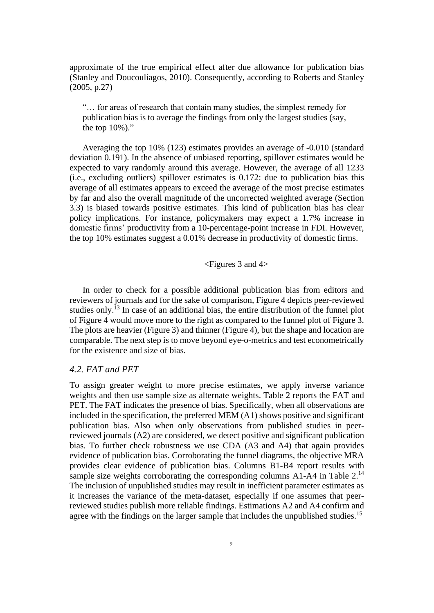approximate of the true empirical effect after due allowance for publication bias (Stanley and Doucouliagos, 2010). Consequently, according to Roberts and Stanley (2005, p.27)

"… for areas of research that contain many studies, the simplest remedy for publication bias is to average the findings from only the largest studies (say, the top 10%)."

Averaging the top 10% (123) estimates provides an average of -0.010 (standard deviation 0.191). In the absence of unbiased reporting, spillover estimates would be expected to vary randomly around this average. However, the average of all 1233 (i.e., excluding outliers) spillover estimates is 0.172: due to publication bias this average of all estimates appears to exceed the average of the most precise estimates by far and also the overall magnitude of the uncorrected weighted average (Section 3.3) is biased towards positive estimates. This kind of publication bias has clear policy implications. For instance, policymakers may expect a 1.7% increase in domestic firms' productivity from a 10-percentage-point increase in FDI. However, the top 10% estimates suggest a 0.01% decrease in productivity of domestic firms.

## <Figures 3 and 4>

In order to check for a possible additional publication bias from editors and reviewers of journals and for the sake of comparison, Figure 4 depicts peer-reviewed studies only.<sup>13</sup> In case of an additional bias, the entire distribution of the funnel plot of Figure 4 would move more to the right as compared to the funnel plot of Figure 3. The plots are heavier (Figure 3) and thinner (Figure 4), but the shape and location are comparable. The next step is to move beyond eye-o-metrics and test econometrically for the existence and size of bias.

## *4.2. FAT and PET*

To assign greater weight to more precise estimates, we apply inverse variance weights and then use sample size as alternate weights. Table 2 reports the FAT and PET. The FAT indicates the presence of bias. Specifically, when all observations are included in the specification, the preferred MEM (A1) shows positive and significant publication bias. Also when only observations from published studies in peerreviewed journals (A2) are considered, we detect positive and significant publication bias. To further check robustness we use CDA (A3 and A4) that again provides evidence of publication bias. Corroborating the funnel diagrams, the objective MRA provides clear evidence of publication bias. Columns B1-B4 report results with sample size weights corroborating the corresponding columns A1-A4 in Table  $2^{14}$ The inclusion of unpublished studies may result in inefficient parameter estimates as it increases the variance of the meta-dataset, especially if one assumes that peerreviewed studies publish more reliable findings. Estimations A2 and A4 confirm and agree with the findings on the larger sample that includes the unpublished studies.<sup>15</sup>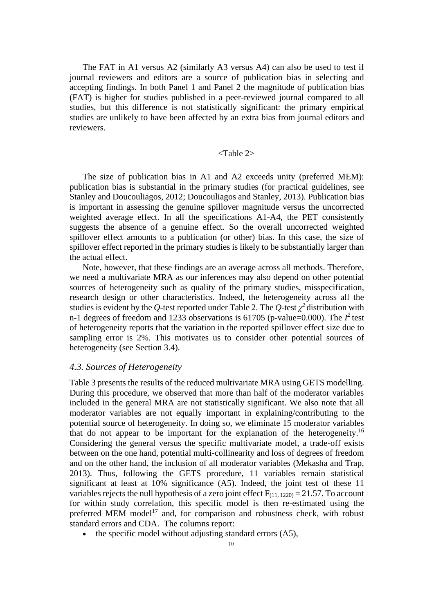The FAT in A1 versus A2 (similarly A3 versus A4) can also be used to test if journal reviewers and editors are a source of publication bias in selecting and accepting findings. In both Panel 1 and Panel 2 the magnitude of publication bias (FAT) is higher for studies published in a peer-reviewed journal compared to all studies, but this difference is not statistically significant: the primary empirical studies are unlikely to have been affected by an extra bias from journal editors and reviewers.

#### <Table 2>

The size of publication bias in A1 and A2 exceeds unity (preferred MEM): publication bias is substantial in the primary studies (for practical guidelines, see Stanley and Doucouliagos, 2012; Doucouliagos and Stanley, 2013). Publication bias is important in assessing the genuine spillover magnitude versus the uncorrected weighted average effect. In all the specifications A1-A4, the PET consistently suggests the absence of a genuine effect. So the overall uncorrected weighted spillover effect amounts to a publication (or other) bias. In this case, the size of spillover effect reported in the primary studies is likely to be substantially larger than the actual effect.

Note, however, that these findings are an average across all methods. Therefore, we need a multivariate MRA as our inferences may also depend on other potential sources of heterogeneity such as quality of the primary studies, misspecification, research design or other characteristics. Indeed, the heterogeneity across all the studies is evident by the Q-test reported under Table 2. The Q-test  $\chi^2$  distribution with n-1 degrees of freedom and 1233 observations is  $61705$  (p-value=0.000). The  $I^2$  test of heterogeneity reports that the variation in the reported spillover effect size due to sampling error is 2%. This motivates us to consider other potential sources of heterogeneity (see Section 3.4).

#### *4.3. Sources of Heterogeneity*

Table 3 presents the results of the reduced multivariate MRA using GETS modelling. During this procedure, we observed that more than half of the moderator variables included in the general MRA are not statistically significant. We also note that all moderator variables are not equally important in explaining/contributing to the potential source of heterogeneity. In doing so, we eliminate 15 moderator variables that do not appear to be important for the explanation of the heterogeneity.<sup>16</sup> Considering the general versus the specific multivariate model, a trade-off exists between on the one hand, potential multi-collinearity and loss of degrees of freedom and on the other hand, the inclusion of all moderator variables (Mekasha and Trap, 2013). Thus, following the GETS procedure, 11 variables remain statistical significant at least at 10% significance (A5). Indeed, the joint test of these 11 variables rejects the null hypothesis of a zero joint effect  $F_{(11, 1220)} = 21.57$ . To account for within study correlation, this specific model is then re-estimated using the preferred MEM model<sup>17</sup> and, for comparison and robustness check, with robust standard errors and CDA. The columns report:

• the specific model without adjusting standard errors (A5),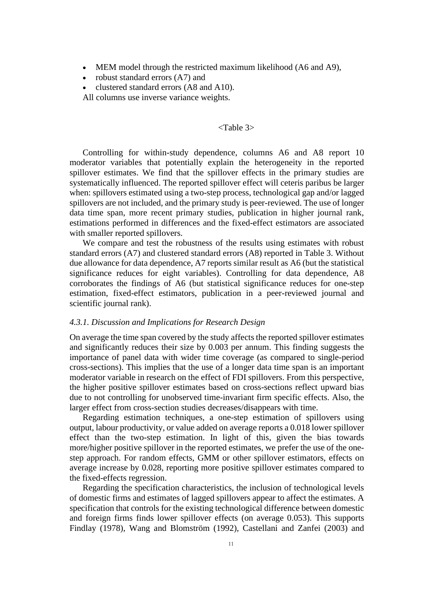- MEM model through the restricted maximum likelihood (A6 and A9),
- robust standard errors (A7) and
- clustered standard errors (A8 and A10).

All columns use inverse variance weights.

## <Table 3>

Controlling for within-study dependence, columns A6 and A8 report 10 moderator variables that potentially explain the heterogeneity in the reported spillover estimates. We find that the spillover effects in the primary studies are systematically influenced. The reported spillover effect will ceteris paribus be larger when: spillovers estimated using a two-step process, technological gap and/or lagged spillovers are not included, and the primary study is peer-reviewed. The use of longer data time span, more recent primary studies, publication in higher journal rank, estimations performed in differences and the fixed-effect estimators are associated with smaller reported spillovers.

We compare and test the robustness of the results using estimates with robust standard errors (A7) and clustered standard errors (A8) reported in Table 3. Without due allowance for data dependence, A7 reports similar result as A6 (but the statistical significance reduces for eight variables). Controlling for data dependence, A8 corroborates the findings of A6 (but statistical significance reduces for one-step estimation, fixed-effect estimators, publication in a peer-reviewed journal and scientific journal rank).

## *4.3.1. Discussion and Implications for Research Design*

On average the time span covered by the study affects the reported spillover estimates and significantly reduces their size by 0.003 per annum. This finding suggests the importance of panel data with wider time coverage (as compared to single-period cross-sections). This implies that the use of a longer data time span is an important moderator variable in research on the effect of FDI spillovers. From this perspective, the higher positive spillover estimates based on cross-sections reflect upward bias due to not controlling for unobserved time-invariant firm specific effects. Also, the larger effect from cross-section studies decreases/disappears with time.

Regarding estimation techniques, a one-step estimation of spillovers using output, labour productivity, or value added on average reports a 0.018 lower spillover effect than the two-step estimation. In light of this, given the bias towards more/higher positive spillover in the reported estimates, we prefer the use of the onestep approach. For random effects, GMM or other spillover estimators, effects on average increase by 0.028, reporting more positive spillover estimates compared to the fixed-effects regression.

Regarding the specification characteristics, the inclusion of technological levels of domestic firms and estimates of lagged spillovers appear to affect the estimates. A specification that controls for the existing technological difference between domestic and foreign firms finds lower spillover effects (on average 0.053). This supports Findlay (1978), Wang and Blomström (1992), Castellani and Zanfei (2003) and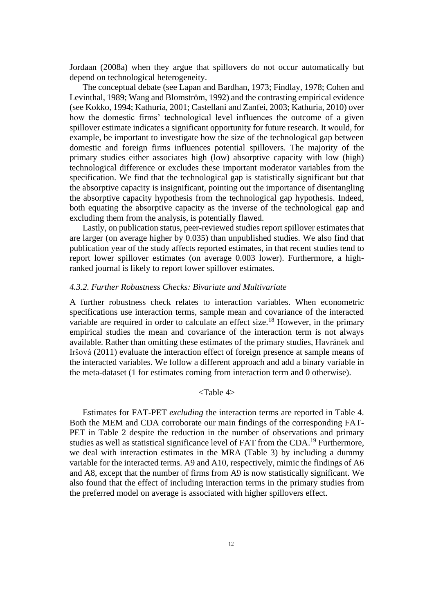Jordaan (2008a) when they argue that spillovers do not occur automatically but depend on technological heterogeneity.

The conceptual debate (see Lapan and Bardhan, 1973; Findlay, 1978; Cohen and Levinthal, 1989; Wang and Blomström, 1992) and the contrasting empirical evidence (see Kokko, 1994; Kathuria, 2001; Castellani and Zanfei, 2003; Kathuria, 2010) over how the domestic firms' technological level influences the outcome of a given spillover estimate indicates a significant opportunity for future research. It would, for example, be important to investigate how the size of the technological gap between domestic and foreign firms influences potential spillovers. The majority of the primary studies either associates high (low) absorptive capacity with low (high) technological difference or excludes these important moderator variables from the specification. We find that the technological gap is statistically significant but that the absorptive capacity is insignificant, pointing out the importance of disentangling the absorptive capacity hypothesis from the technological gap hypothesis. Indeed, both equating the absorptive capacity as the inverse of the technological gap and excluding them from the analysis, is potentially flawed.

Lastly, on publication status, peer-reviewed studies report spillover estimates that are larger (on average higher by 0.035) than unpublished studies. We also find that publication year of the study affects reported estimates, in that recent studies tend to report lower spillover estimates (on average 0.003 lower). Furthermore, a highranked journal is likely to report lower spillover estimates.

### *4.3.2. Further Robustness Checks: Bivariate and Multivariate*

A further robustness check relates to interaction variables. When econometric specifications use interaction terms, sample mean and covariance of the interacted variable are required in order to calculate an effect size.<sup>18</sup> However, in the primary empirical studies the mean and covariance of the interaction term is not always available. Rather than omitting these estimates of the primary studies, Havránek and Iršová (2011) evaluate the interaction effect of foreign presence at sample means of the interacted variables. We follow a different approach and add a binary variable in the meta-dataset (1 for estimates coming from interaction term and 0 otherwise).

#### <Table 4>

Estimates for FAT-PET *excluding* the interaction terms are reported in Table 4. Both the MEM and CDA corroborate our main findings of the corresponding FAT-PET in Table 2 despite the reduction in the number of observations and primary studies as well as statistical significance level of FAT from the  $CDA$ .<sup>19</sup> Furthermore, we deal with interaction estimates in the MRA (Table 3) by including a dummy variable for the interacted terms. A9 and A10, respectively, mimic the findings of A6 and A8, except that the number of firms from A9 is now statistically significant. We also found that the effect of including interaction terms in the primary studies from the preferred model on average is associated with higher spillovers effect.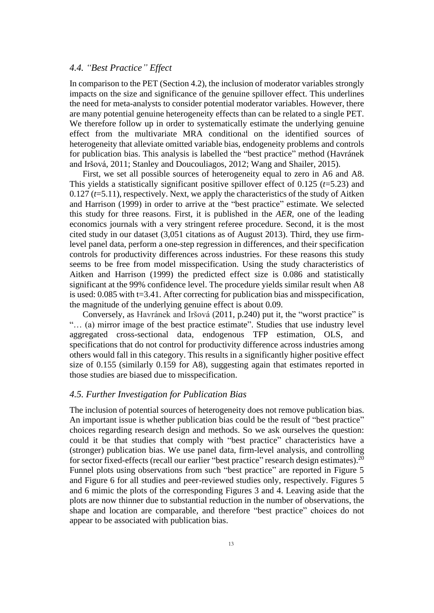## *4.4. "Best Practice" Effect*

In comparison to the PET (Section 4.2), the inclusion of moderator variables strongly impacts on the size and significance of the genuine spillover effect. This underlines the need for meta-analysts to consider potential moderator variables. However, there are many potential genuine heterogeneity effects than can be related to a single PET. We therefore follow up in order to systematically estimate the underlying genuine effect from the multivariate MRA conditional on the identified sources of heterogeneity that alleviate omitted variable bias, endogeneity problems and controls for publication bias. This analysis is labelled the "best practice" method (Havránek and Iršová, 2011; Stanley and Doucouliagos, 2012; Wang and Shailer, 2015).

First, we set all possible sources of heterogeneity equal to zero in A6 and A8. This yields a statistically significant positive spillover effect of 0.125 (*t*=5.23) and 0.127 (*t*=5.11), respectively. Next, we apply the characteristics of the study of Aitken and Harrison (1999) in order to arrive at the "best practice" estimate. We selected this study for three reasons. First, it is published in the *AER*, one of the leading economics journals with a very stringent referee procedure. Second, it is the most cited study in our dataset (3,051 citations as of August 2013). Third, they use firmlevel panel data, perform a one-step regression in differences, and their specification controls for productivity differences across industries. For these reasons this study seems to be free from model misspecification. Using the study characteristics of Aitken and Harrison (1999) the predicted effect size is 0.086 and statistically significant at the 99% confidence level. The procedure yields similar result when A8 is used: 0.085 with t=3.41. After correcting for publication bias and misspecification, the magnitude of the underlying genuine effect is about 0.09.

Conversely, as Havránek and Iršová (2011, p.240) put it, the "worst practice" is "… (a) mirror image of the best practice estimate". Studies that use industry level aggregated cross-sectional data, endogenous TFP estimation, OLS, and specifications that do not control for productivity difference across industries among others would fall in this category. This results in a significantly higher positive effect size of 0.155 (similarly 0.159 for A8), suggesting again that estimates reported in those studies are biased due to misspecification.

## *4.5. Further Investigation for Publication Bias*

The inclusion of potential sources of heterogeneity does not remove publication bias. An important issue is whether publication bias could be the result of "best practice" choices regarding research design and methods. So we ask ourselves the question: could it be that studies that comply with "best practice" characteristics have a (stronger) publication bias. We use panel data, firm-level analysis, and controlling for sector fixed-effects (recall our earlier "best practice" research design estimates).<sup>20</sup> Funnel plots using observations from such "best practice" are reported in Figure 5 and Figure 6 for all studies and peer-reviewed studies only, respectively. Figures 5 and 6 mimic the plots of the corresponding Figures 3 and 4. Leaving aside that the plots are now thinner due to substantial reduction in the number of observations, the shape and location are comparable, and therefore "best practice" choices do not appear to be associated with publication bias.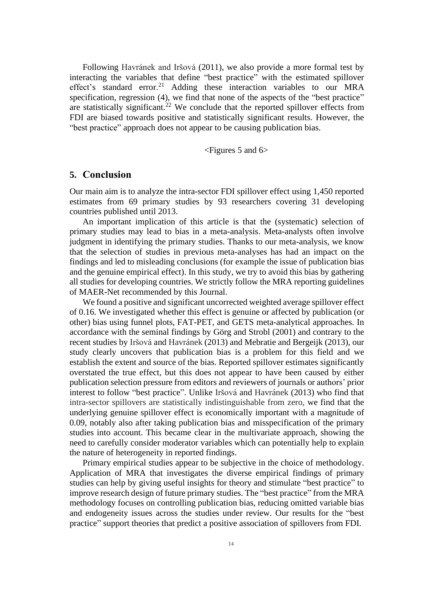Following Havránek and Iršová (2011), we also provide a more formal test by interacting the variables that define "best practice" with the estimated spillover effect's standard error.<sup>21</sup> Adding these interaction variables to our MRA specification, regression (4), we find that none of the aspects of the "best practice" are statistically significant.<sup>22</sup> We conclude that the reported spillover effects from FDI are biased towards positive and statistically significant results. However, the "best practice" approach does not appear to be causing publication bias.

#### <Figures 5 and 6>

## **5. Conclusion**

Our main aim is to analyze the intra-sector FDI spillover effect using 1,450 reported estimates from 69 primary studies by 93 researchers covering 31 developing countries published until 2013.

An important implication of this article is that the (systematic) selection of primary studies may lead to bias in a meta-analysis. Meta-analysts often involve judgment in identifying the primary studies. Thanks to our meta-analysis, we know that the selection of studies in previous meta-analyses has had an impact on the findings and led to misleading conclusions (for example the issue of publication bias and the genuine empirical effect). In this study, we try to avoid this bias by gathering all studies for developing countries. We strictly follow the MRA reporting guidelines of MAER-Net recommended by this Journal.

We found a positive and significant uncorrected weighted average spillover effect of 0.16. We investigated whether this effect is genuine or affected by publication (or other) bias using funnel plots, FAT-PET, and GETS meta-analytical approaches. In accordance with the seminal findings by Görg and Strobl (2001) and contrary to the recent studies by Iršová and Havránek (2013) and Mebratie and Bergeijk (2013), our study clearly uncovers that publication bias is a problem for this field and we establish the extent and source of the bias. Reported spillover estimates significantly overstated the true effect, but this does not appear to have been caused by either publication selection pressure from editors and reviewers of journals or authors' prior interest to follow "best practice". Unlike Iršová and Havránek (2013) who find that intra-sector spillovers are statistically indistinguishable from zero, we find that the underlying genuine spillover effect is economically important with a magnitude of 0.09, notably also after taking publication bias and misspecification of the primary studies into account. This became clear in the multivariate approach, showing the need to carefully consider moderator variables which can potentially help to explain the nature of heterogeneity in reported findings.

Primary empirical studies appear to be subjective in the choice of methodology. Application of MRA that investigates the diverse empirical findings of primary studies can help by giving useful insights for theory and stimulate "best practice" to improve research design of future primary studies. The "best practice" from the MRA methodology focuses on controlling publication bias, reducing omitted variable bias and endogeneity issues across the studies under review. Our results for the "best practice" support theories that predict a positive association of spillovers from FDI.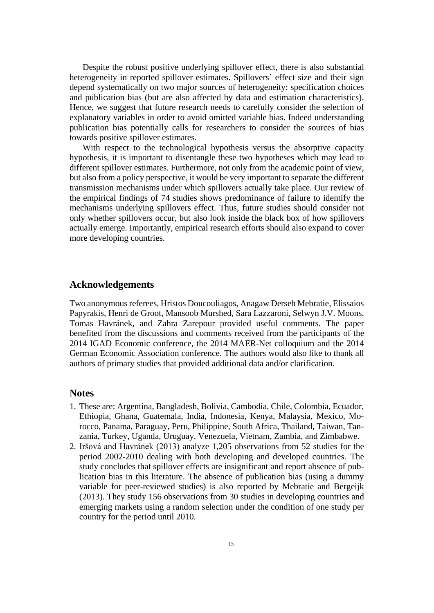Despite the robust positive underlying spillover effect, there is also substantial heterogeneity in reported spillover estimates. Spillovers' effect size and their sign depend systematically on two major sources of heterogeneity: specification choices and publication bias (but are also affected by data and estimation characteristics). Hence, we suggest that future research needs to carefully consider the selection of explanatory variables in order to avoid omitted variable bias. Indeed understanding publication bias potentially calls for researchers to consider the sources of bias towards positive spillover estimates.

With respect to the technological hypothesis versus the absorptive capacity hypothesis, it is important to disentangle these two hypotheses which may lead to different spillover estimates. Furthermore, not only from the academic point of view, but also from a policy perspective, it would be very important to separate the different transmission mechanisms under which spillovers actually take place. Our review of the empirical findings of 74 studies shows predominance of failure to identify the mechanisms underlying spillovers effect. Thus, future studies should consider not only whether spillovers occur, but also look inside the black box of how spillovers actually emerge. Importantly, empirical research efforts should also expand to cover more developing countries.

## **Acknowledgements**

Two anonymous referees, Hristos Doucouliagos, Anagaw Derseh Mebratie, Elissaios Papyrakis, Henri de Groot, Mansoob Murshed, Sara Lazzaroni, Selwyn J.V. Moons, Tomas Havránek, and Zahra Zarepour provided useful comments. The paper benefited from the discussions and comments received from the participants of the 2014 IGAD Economic conference, the 2014 MAER-Net colloquium and the 2014 German Economic Association conference. The authors would also like to thank all authors of primary studies that provided additional data and/or clarification.

## **Notes**

- 1. These are: Argentina, Bangladesh, Bolivia, Cambodia, Chile, Colombia, Ecuador, Ethiopia, Ghana, Guatemala, India, Indonesia, Kenya, Malaysia, Mexico, Morocco, Panama, Paraguay, Peru, Philippine, South Africa, Thailand, Taiwan, Tanzania, Turkey, Uganda, Uruguay, Venezuela, Vietnam, Zambia, and Zimbabwe.
- 2. Iršová and Havránek (2013) analyze 1,205 observations from 52 studies for the period 2002-2010 dealing with both developing and developed countries. The study concludes that spillover effects are insignificant and report absence of publication bias in this literature. The absence of publication bias (using a dummy variable for peer-reviewed studies) is also reported by Mebratie and Bergeijk (2013). They study 156 observations from 30 studies in developing countries and emerging markets using a random selection under the condition of one study per country for the period until 2010.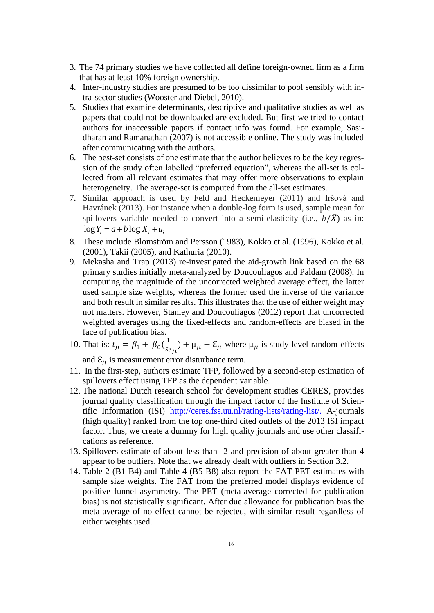- 3. The 74 primary studies we have collected all define foreign-owned firm as a firm that has at least 10% foreign ownership.
- 4. Inter-industry studies are presumed to be too dissimilar to pool sensibly with intra-sector studies (Wooster and Diebel, 2010).
- 5. Studies that examine determinants, descriptive and qualitative studies as well as papers that could not be downloaded are excluded. But first we tried to contact authors for inaccessible papers if contact info was found. For example, Sasidharan and Ramanathan (2007) is not accessible online. The study was included after communicating with the authors.
- 6. The best-set consists of one estimate that the author believes to be the key regression of the study often labelled "preferred equation", whereas the all-set is collected from all relevant estimates that may offer more observations to explain heterogeneity. The average-set is computed from the all-set estimates.
- 7. Similar approach is used by Feld and Heckemeyer (2011) and Iršová and Havránek (2013). For instance when a double-log form is used, sample mean for spillovers variable needed to convert into a semi-elasticity (i.e.,  $b/\overline{X}$ ) as in:  $\log Y_i = a + b \log X_i + u_i$
- 8. These include Blomström and Persson (1983), Kokko et al. (1996), Kokko et al. (2001), Takii (2005), and Kathuria (2010).
- 9. Mekasha and Trap (2013) re-investigated the aid-growth link based on the 68 primary studies initially meta-analyzed by Doucouliagos and Paldam (2008). In computing the magnitude of the uncorrected weighted average effect, the latter used sample size weights, whereas the former used the inverse of the variance and both result in similar results. This illustrates that the use of either weight may not matters. However, Stanley and Doucouliagos (2012) report that uncorrected weighted averages using the fixed-effects and random-effects are biased in the face of publication bias.
- 10. That is:  $t_{ji} = \beta_1 + \beta_0(\frac{1}{s_4})$  $\frac{1}{s e_{ji}}$ ) +  $\mu_{ji}$  +  $\varepsilon_{ji}$  where  $\mu_{ji}$  is study-level random-effects

and  $\mathcal{E}_{ii}$  is measurement error disturbance term.

- 11. In the first-step, authors estimate TFP, followed by a second-step estimation of spillovers effect using TFP as the dependent variable.
- 12. The national Dutch research school for development studies CERES, provides journal quality classification through the impact factor of the Institute of Scientific Information (ISI) [http://ceres.fss.uu.nl/rating-lists/rating-list/.](http://ceres.fss.uu.nl/rating-lists/rating-list/) A-journals (high quality) ranked from the top one-third cited outlets of the 2013 ISI impact factor. Thus, we create a dummy for high quality journals and use other classifications as reference.
- 13. Spillovers estimate of about less than -2 and precision of about greater than 4 appear to be outliers. Note that we already dealt with outliers in Section 3.2.
- 14. Table 2 (B1-B4) and Table 4 (B5-B8) also report the FAT-PET estimates with sample size weights. The FAT from the preferred model displays evidence of positive funnel asymmetry. The PET (meta-average corrected for publication bias) is not statistically significant. After due allowance for publication bias the meta-average of no effect cannot be rejected, with similar result regardless of either weights used.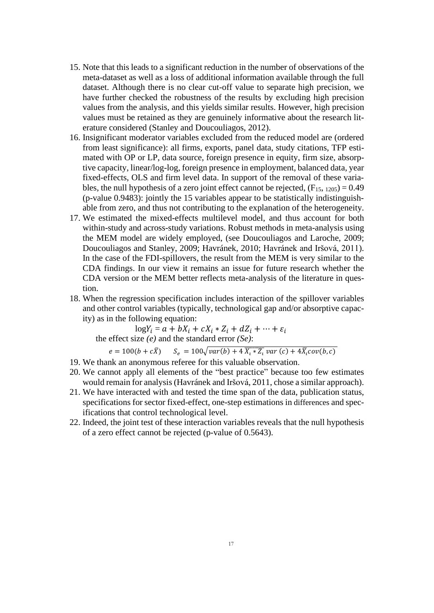- 15. Note that this leads to a significant reduction in the number of observations of the meta-dataset as well as a loss of additional information available through the full dataset. Although there is no clear cut-off value to separate high precision, we have further checked the robustness of the results by excluding high precision values from the analysis, and this yields similar results. However, high precision values must be retained as they are genuinely informative about the research literature considered (Stanley and Doucouliagos, 2012).
- 16. Insignificant moderator variables excluded from the reduced model are (ordered from least significance): all firms, exports, panel data, study citations, TFP estimated with OP or LP, data source, foreign presence in equity, firm size, absorptive capacity, linear/log-log, foreign presence in employment, balanced data, year fixed-effects, OLS and firm level data. In support of the removal of these variables, the null hypothesis of a zero joint effect cannot be rejected,  $(F_{15}, 1205) = 0.49$ (p-value 0.9483): jointly the 15 variables appear to be statistically indistinguishable from zero, and thus not contributing to the explanation of the heterogeneity.
- 17. We estimated the mixed-effects multilevel model, and thus account for both within-study and across-study variations. Robust methods in meta-analysis using the MEM model are widely employed, (see Doucouliagos and Laroche, 2009; Doucouliagos and Stanley, 2009; Havránek, 2010; Havránek and Iršová, 2011). In the case of the FDI-spillovers, the result from the MEM is very similar to the CDA findings. In our view it remains an issue for future research whether the CDA version or the MEM better reflects meta-analysis of the literature in question.
- 18. When the regression specification includes interaction of the spillover variables and other control variables (typically, technological gap and/or absorptive capacity) as in the following equation:

$$
\log Y_i = a + bX_i + cX_i * Z_i + dZ_i + \dots + \varepsilon_i
$$
  
the effect size (e) and the standard error (Se):

$$
e = 100(b + c\overline{X}) \qquad S_e = 100\sqrt{var(b) + 4\overline{X_i \cdot Z_i}} \, var(c) + 4\overline{X_i} cov(b, c)
$$

- 19. We thank an anonymous referee for this valuable observation.
- 20. We cannot apply all elements of the "best practice" because too few estimates would remain for analysis (Havránek and Iršová, 2011, chose a similar approach).
- 21. We have interacted with and tested the time span of the data, publication status, specifications for sector fixed-effect, one-step estimations in differences and specifications that control technological level.
- 22. Indeed, the joint test of these interaction variables reveals that the null hypothesis of a zero effect cannot be rejected (p-value of 0.5643).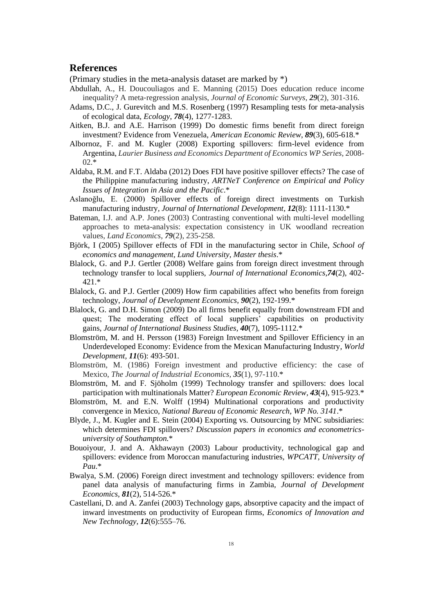## **References**

(Primary studies in the meta-analysis dataset are marked by \*)

- Abdullah, A., H. Doucouliagos and E. Manning (2015) Does education reduce income inequality? A meta‐regression analysis, *Journal of Economic Surveys, 29*(2), 301-316.
- Adams, D.C., J. Gurevitch and M.S. Rosenberg (1997) Resampling tests for meta-analysis of ecological data, *Ecology*, *78*(4), 1277-1283.
- Aitken, B.J. and A.E. Harrison (1999) Do domestic firms benefit from direct foreign investment? Evidence from Venezuela, *American Economic Review*, *89*(3), 605-618.\*
- Albornoz, F. and M. Kugler (2008) Exporting spillovers: firm-level evidence from Argentina, *Laurier Business and Economics Department of Economics WP Series*, 2008-  $02.*$
- Aldaba, R.M. and F.T. Aldaba (2012) Does FDI have positive spillover effects? The case of the Philippine manufacturing industry, *ARTNeT Conference on Empirical and Policy Issues of Integration in Asia and the Pacific*.\*
- Aslanoğlu, E. (2000) Spillover effects of foreign direct investments on Turkish manufacturing industry*, Journal of International Development, 12*(8): 1111-1130.\*
- Bateman, I.J. and A.P. Jones (2003) Contrasting conventional with multi-level modelling approaches to meta-analysis: expectation consistency in UK woodland recreation values, *Land Economics*, *79*(2), 235-258.
- Björk, I (2005) Spillover effects of FDI in the manufacturing sector in Chile, *School of economics and management, Lund University, Master thesis*.\*
- Blalock, G. and P.J. Gertler (2008) Welfare gains from foreign direct investment through technology transfer to local suppliers, *Journal of International Economics,74*(2), 402- 421.\*
- Blalock, G. and P.J. Gertler (2009) How firm capabilities affect who benefits from foreign technology, *Journal of Development Economics, 90*(2), 192-199.\*
- Blalock, G. and D.H. Simon (2009) Do all firms benefit equally from downstream FDI and quest; The moderating effect of local suppliers' capabilities on productivity gains, *Journal of International Business Studies, 40*(7), 1095-1112.\*
- Blomström, M. and H. Persson (1983) Foreign Investment and Spillover Efficiency in an Underdeveloped Economy: Evidence from the Mexican Manufacturing Industry*, World Development, 11*(6): 493-501.
- Blomström, M. (1986) Foreign investment and productive efficiency: the case of Mexico, *The Journal of Industrial Economics, 35*(1), 97-110.\*
- Blomström, M. and F. Sjöholm (1999) Technology transfer and spillovers: does local participation with multinationals Matter? *European Economic Review, 43*(4), 915-923.\*
- Blomström, M. and E.N. Wolff (1994) Multinational corporations and productivity convergence in Mexico, *National Bureau of Economic Research, WP No. 3141*.\*
- Blyde, J., M. Kugler and E. Stein (2004) Exporting vs. Outsourcing by MNC subsidiaries: which determines FDI spillovers? *Discussion papers in economics and econometricsuniversity of Southampton.*\*
- Bouoiyour, J. and A. Akhawayn (2003) Labour productivity, technological gap and spillovers: evidence from Moroccan manufacturing industries*, WPCATT, University of Pau*.\*
- Bwalya, S.M. (2006) Foreign direct investment and technology spillovers: evidence from panel data analysis of manufacturing firms in Zambia*, Journal of Development Economics, 81*(2), 514-526.\*
- Castellani, D. and A. Zanfei (2003) Technology gaps, absorptive capacity and the impact of inward investments on productivity of European firms, *Economics of Innovation and New Technology, 12*(6):555–76.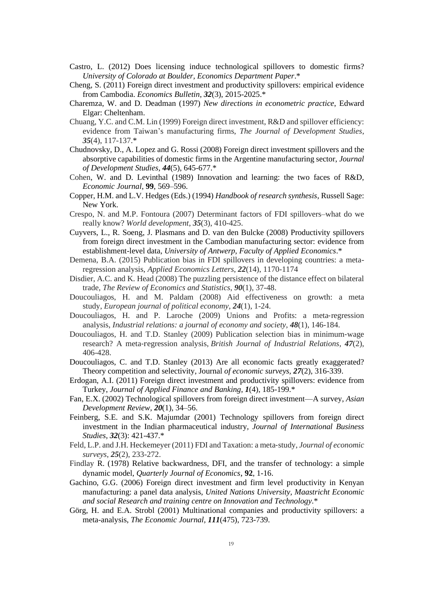- Castro, L. (2012) Does licensing induce technological spillovers to domestic firms? *University of Colorado at Boulder, Economics Department Paper*.\*
- Cheng, S. (2011) Foreign direct investment and productivity spillovers: empirical evidence from Cambodia. *Economics Bulletin*, *32*(3), 2015-2025.\*
- Charemza, W. and D. Deadman (1997) *New directions in econometric practice*, Edward Elgar: Cheltenham.
- Chuang, Y.C. and C.M. Lin (1999) Foreign direct investment, R&D and spillover efficiency: evidence from Taiwan's manufacturing firms, *The Journal of Development Studies*, *35*(4), 117-137.\*
- Chudnovsky, D., A. Lopez and G. Rossi (2008) Foreign direct investment spillovers and the absorptive capabilities of domestic firms in the Argentine manufacturing sector, *Journal of Development Studies, 44*(5), 645-677.\*
- Cohen, W. and D. Levinthal (1989) Innovation and learning: the two faces of R&D, *Economic Journal*, **99**, 569–596.
- Copper, H.M. and L.V. Hedges (Eds.) (1994) *Handbook of research synthesis*, Russell Sage: New York.
- Crespo, N. and M.P. Fontoura (2007) Determinant factors of FDI spillovers–what do we really know? *World development*, *35*(3), 410-425.
- Cuyvers, L., R. Soeng, J. Plasmans and D. van den Bulcke (2008) Productivity spillovers from foreign direct investment in the Cambodian manufacturing sector: evidence from establishment-level data, *University of Antwerp, Faculty of Applied Economics*.\*
- Demena, B.A. (2015) Publication bias in FDI spillovers in developing countries: a metaregression analysis, *Applied Economics Letters*, *22*(14), 1170-1174
- Disdier, A.C. and K. Head (2008) The puzzling persistence of the distance effect on bilateral trade, *The Review of Economics and Statistics*, *90*(1), 37-48.
- Doucouliagos, H. and M. Paldam (2008) Aid effectiveness on growth: a meta study, *European journal of political economy*, *24*(1), 1-24.
- Doucouliagos, H. and P. Laroche (2009) Unions and Profits: a meta‐regression analysis, *Industrial relations: a journal of economy and society*, *48*(1), 146-184.
- Doucouliagos, H. and T.D. Stanley (2009) Publication selection bias in minimum‐wage research? A meta‐regression analysis, *British Journal of Industrial Relations*, *47*(2), 406-428.
- Doucouliagos, C. and T.D. Stanley (2013) Are all economic facts greatly exaggerated? Theory competition and selectivity, Journal *of economic surveys, 27*(2)*,* 316-339.
- Erdogan, A.I. (2011) Foreign direct investment and productivity spillovers: evidence from Turkey, *Journal of Applied Finance and Banking*, *1*(4), 185-199.\*
- Fan, E.X. (2002) Technological spillovers from foreign direct investment—A survey, *Asian Development Review, 20*(1), 34–56.
- Feinberg, S.E. and S.K. Majumdar (2001) Technology spillovers from foreign direct investment in the Indian pharmaceutical industry*, Journal of International Business Studies, 32*(3): 421-437.\*
- Feld, L.P. and J.H. Heckemeyer (2011) FDI and Taxation: a meta‐study, *Journal of economic surveys*, *25*(2), 233-272.
- Findlay R. (1978) Relative backwardness, DFI, and the transfer of technology: a simple dynamic model, *Quarterly Journal of Economics*, **92**, 1-16.
- Gachino, G.G. (2006) Foreign direct investment and firm level productivity in Kenyan manufacturing: a panel data analysis, *United Nations University, Maastricht Economic and social Research and training centre on Innovation and Technology.*\*
- Görg, H. and E.A. Strobl (2001) Multinational companies and productivity spillovers: a meta-analysis, *The Economic Journal, 111*(475), 723-739.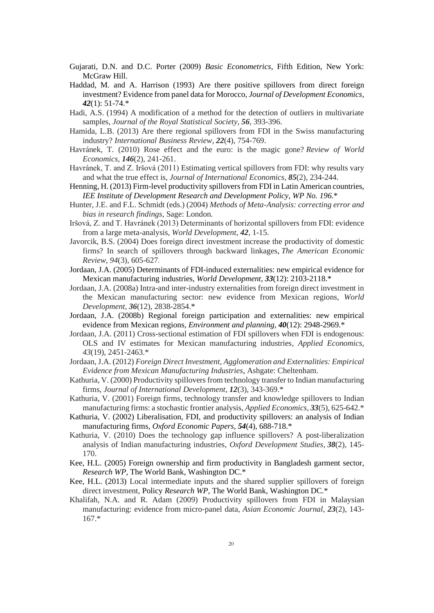- Gujarati, D.N. and D.C. Porter (2009) *Basic Econometrics*, Fifth Edition, New York: McGraw Hill.
- Haddad, M. and A. Harrison (1993) Are there positive spillovers from direct foreign investment? Evidence from panel data for Morocco*, Journal of Development Economics, 42*(1): 51-74.\*
- Hadi, A.S. (1994) A modification of a method for the detection of outliers in multivariate samples, *Journal of the Royal Statistical Society*, *56*, 393-396.
- Hamida, L.B. (2013) Are there regional spillovers from FDI in the Swiss manufacturing industry? *International Business Review*, *22*(4), 754-769.
- Havránek, T. (2010) Rose effect and the euro: is the magic gone? *Review of World Economics*, *146*(2), 241-261.
- Havránek, T. and Z. Iršová (2011) Estimating vertical spillovers from FDI: why results vary and what the true effect is, *Journal of International Economics*, *85*(2), 234-244.
- Henning, H. (2013) Firm-level productivity spillovers from FDI in Latin American countries, *IEE Institute of Development Research and Development Policy, WP No. 196*.\*
- Hunter, J.E. and F.L. Schmidt (eds.) (2004) *Methods of Meta-Analysis: correcting error and bias in research findings,* Sage: London*.*
- Iršová, Z. and T. Havránek (2013) Determinants of horizontal spillovers from FDI: evidence from a large meta-analysis, *World Development*, *42*, 1-15.
- Javorcik, B.S. (2004) Does foreign direct investment increase the productivity of domestic firms? In search of spillovers through backward linkages, *The American Economic Review*, *94*(3), 605-627.
- Jordaan, J.A. (2005) Determinants of FDI-induced externalities: new empirical evidence for Mexican manufacturing industries*, World Development, 33*(12): 2103-2118.\*
- Jordaan, J.A. (2008a) Intra-and inter-industry externalities from foreign direct investment in the Mexican manufacturing sector: new evidence from Mexican regions, *World Development*, *36*(12), 2838-2854.\*
- Jordaan, J.A. (2008b) Regional foreign participation and externalities: new empirical evidence from Mexican regions*, Environment and planning, 40*(12): 2948-2969.\*
- Jordaan, J.A. (2011) Cross-sectional estimation of FDI spillovers when FDI is endogenous: OLS and IV estimates for Mexican manufacturing industries, *Applied Economics, 43*(19), 2451-2463.\*
- Jordaan, J.A. (2012) *Foreign Direct Investment, Agglomeration and Externalities: Empirical Evidence from Mexican Manufacturing Industries*, Ashgate: Cheltenham.
- Kathuria, V. (2000) Productivity spillovers from technology transfer to Indian manufacturing firms, *Journal of International Development*, *12*(3), 343-369.\*

Kathuria, V. (2001) Foreign firms, technology transfer and knowledge spillovers to Indian manufacturing firms: a stochastic frontier analysis, *Applied Economics*, *33*(5), 625-642.\*

- Kathuria, V. (2002) Liberalisation, FDI, and productivity spillovers: an analysis of Indian manufacturing firms*, Oxford Economic Papers, 54*(4), 688-718.\*
- Kathuria, V. (2010) Does the technology gap influence spillovers? A post-liberalization analysis of Indian manufacturing industries, *Oxford Development Studies*, *38*(2), 145- 170.
- Kee, H.L. (2005) Foreign ownership and firm productivity in Bangladesh garment sector*, Research WP,* The World Bank, Washington DC.\*
- Kee, H.L. (2013) Local intermediate inputs and the shared supplier spillovers of foreign direct investment, Policy *Research WP,* The World Bank, Washington DC.\*
- Khalifah, N.A. and R. Adam (2009) Productivity spillovers from FDI in Malaysian manufacturing: evidence from micro‐panel data, *Asian Economic Journal*, *23*(2), 143- 167.\*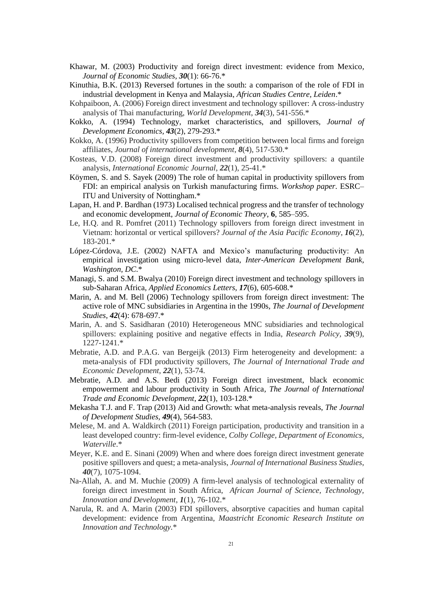- Khawar, M. (2003) Productivity and foreign direct investment: evidence from Mexico*, Journal of Economic Studies, 30*(1): 66-76.\*
- Kinuthia, B.K. (2013) Reversed fortunes in the south: a comparison of the role of FDI in industrial development in Kenya and Malaysia, *African Studies Centre, Leiden*.\*
- Kohpaiboon, A. (2006) Foreign direct investment and technology spillover: A cross-industry analysis of Thai manufacturing, *World Development*, *34*(3), 541-556.\*
- Kokko, A. (1994) Technology, market characteristics, and spillovers*, Journal of Development Economics, 43*(2), 279-293.\*
- Kokko, A. (1996) Productivity spillovers from competition between local firms and foreign affiliates, *Journal of international development*, *8*(4), 517-530.\*
- Kosteas, V.D. (2008) Foreign direct investment and productivity spillovers: a quantile analysis, *International Economic Journal*, *22*(1), 25-41.\*
- Köymen, S. and S. Sayek (2009) The role of human capital in productivity spillovers from FDI: an empirical analysis on Turkish manufacturing firms. *Workshop paper.* ESRC– ITU and University of Nottingham.\*
- Lapan, H. and P. Bardhan (1973) Localised technical progress and the transfer of technology and economic development, *Journal of Economic Theory*, **6**, 585–595.
- Le, H.Q. and R. Pomfret (2011) Technology spillovers from foreign direct investment in Vietnam: horizontal or vertical spillovers? *Journal of the Asia Pacific Economy*, *16*(2), 183-201.\*
- López-Córdova, J.E. (2002) NAFTA and Mexico's manufacturing productivity: An empirical investigation using micro-level data, *Inter-American Development Bank, Washington, DC*.\*
- Managi, S. and S.M. Bwalya (2010) Foreign direct investment and technology spillovers in sub-Saharan Africa, *Applied Economics Letters*, *17*(6), 605-608.\*
- Marin, A. and M. Bell (2006) Technology spillovers from foreign direct investment: The active role of MNC subsidiaries in Argentina in the 1990s*, The Journal of Development Studies, 42*(4): 678-697.\*
- Marin, A. and S. Sasidharan (2010) Heterogeneous MNC subsidiaries and technological spillovers: explaining positive and negative effects in India, *Research Policy, 39*(9), 1227-1241.\*
- Mebratie, A.D. and P.A.G. van Bergeijk (2013) Firm heterogeneity and development: a meta-analysis of FDI productivity spillovers, *The Journal of International Trade and Economic Development*, *22*(1), 53-74.
- Mebratie, A.D. and A.S. Bedi (2013) Foreign direct investment, black economic empowerment and labour productivity in South Africa*, The Journal of International Trade and Economic Development*, *22*(1), 103-128.\*
- Mekasha T.J. and F. Trap (2013) Aid and Growth: what meta-analysis reveals, *The Journal of Development Studies, 49*(4), 564-583.
- Melese, M. and A. Waldkirch (2011) Foreign participation, productivity and transition in a least developed country: firm-level evidence, *Colby College, Department of Economics, Waterville*.\*
- Meyer, K.E. and E. Sinani (2009) When and where does foreign direct investment generate positive spillovers and quest; a meta-analysis, *Journal of International Business Studies*, *40*(7), 1075-1094.
- Na-Allah, A. and M. Muchie (2009) A firm-level analysis of technological externality of foreign direct investment in South Africa, *African Journal of Science, Technology, Innovation and Development*, *1*(1), 76-102.\*
- Narula, R. and A. Marin (2003) FDI spillovers, absorptive capacities and human capital development: evidence from Argentina, *Maastricht Economic Research Institute on Innovation and Technology.*\*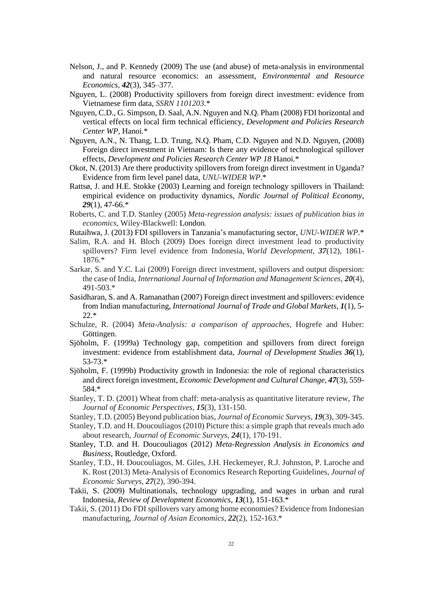- Nelson, J., and P. Kennedy (2009) The use (and abuse) of meta-analysis in environmental and natural resource economics: an assessment, *Environmental and Resource Economics*, *42*(3), 345–377.
- Nguyen, L. (2008) Productivity spillovers from foreign direct investment: evidence from Vietnamese firm data, *SSRN 1101203*.\*
- Nguyen, C.D., G. Simpson, D. Saal, A.N. Nguyen and N.Q. Pham (2008) FDI horizontal and vertical effects on local firm technical efficiency*, Development and Policies Research Center WP,* Hanoi*.*\*
- Nguyen, A.N., N. Thang, L.D. Trung, N.Q. Pham, C.D. Nguyen and N.D. Nguyen, (2008) Foreign direct investment in Vietnam: Is there any evidence of technological spillover effects, *Development and Policies Research Center WP 18* Hanoi*.*\*
- Okot, N. (2013) Are there productivity spillovers from foreign direct investment in Uganda? Evidence from firm level panel data, *UNU-WIDER WP*.\*
- Rattsø, J. and H.E. Stokke (2003) Learning and foreign technology spillovers in Thailand: empirical evidence on productivity dynamics*, Nordic Journal of Political Economy, 29*(1), 47-66.\*
- Roberts, C. and T.D. Stanley (2005) *Meta-regression analysis: issues of publication bias in economics*, Wiley-Blackwell: London.
- Rutaihwa, J. (2013) FDI spillovers in Tanzania's manufacturing sector, *UNU-WIDER WP*.\*
- Salim, R.A. and H. Bloch (2009) Does foreign direct investment lead to productivity spillovers? Firm level evidence from Indonesia, *World Development*, *37*(12), 1861- 1876.\*
- Sarkar, S. and Y.C. Lai (2009) Foreign direct investment, spillovers and output dispersion: the case of India, *International Journal of Information and Management Sciences*, *20*(4), 491-503.\*
- Sasidharan, S. and A. Ramanathan (2007) Foreign direct investment and spillovers: evidence from Indian manufacturing, *International Journal of Trade and Global Markets*, *1*(1), 5- 22.\*
- Schulze, R. (2004) *Meta-Analysis: a comparison of approaches*, Hogrefe and Huber: Göttingen.
- Sjöholm, F. (1999a) Technology gap, competition and spillovers from direct foreign investment: evidence from establishment data*, Journal of Development Studies 36*(1), 53-73.\*
- Sjöholm, F. (1999b) Productivity growth in Indonesia: the role of regional characteristics and direct foreign investment*, Economic Development and Cultural Change, 47*(3), 559- 584.\*
- Stanley, T. D. (2001) Wheat from chaff: meta-analysis as quantitative literature review, *The Journal of Economic Perspectives*, *15*(3), 131-150.
- Stanley, T.D. (2005) Beyond publication bias, *Journal of Economic Surveys*, *19*(3), 309-345.
- Stanley, T.D. and H. Doucouliagos (2010) Picture this: a simple graph that reveals much ado about research, *Journal of Economic Surveys*, *24*(1), 170-191.
- Stanley, T.D. and H. Doucouliagos (2012) *Meta-Regression Analysis in Economics and Business*, Routledge, Oxford.
- Stanley, T.D., H. Doucouliagos, M. Giles, J.H. Heckemeyer, R.J. Johnston, P. Laroche and K. Rost (2013) Meta‐Analysis of Economics Research Reporting Guidelines, *Journal of Economic Surveys*, *27*(2), 390-394.
- Takii, S. (2009) Multinationals, technology upgrading, and wages in urban and rural Indonesia, *Review of Development Economics*, *13*(1), 151-163.\*
- Takii, S. (2011) Do FDI spillovers vary among home economies? Evidence from Indonesian manufacturing, *Journal of Asian Economics*, *22*(2), 152-163.\*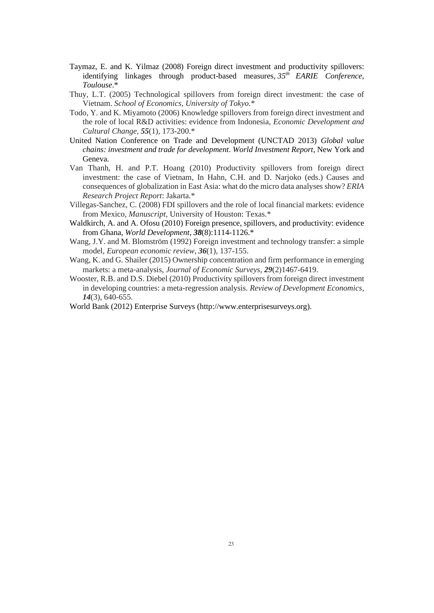- Taymaz, E. and K. Yilmaz (2008) Foreign direct investment and productivity spillovers: identifying linkages through product-based measures, *35th EARIE Conference, Toulouse*.\*
- Thuy, L.T. (2005) Technological spillovers from foreign direct investment: the case of Vietnam. *School of Economics, University of Tokyo.*\*
- Todo, Y. and K. Miyamoto (2006) Knowledge spillovers from foreign direct investment and the role of local R&D activities: evidence from Indonesia, *Economic Development and Cultural Change*, *55*(1), 173-200.\*
- United Nation Conference on Trade and Development (UNCTAD 2013) *Global value chains: investment and trade for development*. *World Investment Report*, New York and Geneva.
- Van Thanh, H. and P.T. Hoang (2010) Productivity spillovers from foreign direct investment: the case of Vietnam, In Hahn, C.H. and D. Narjoko (eds.) Causes and consequences of globalization in East Asia: what do the micro data analyses show? *ERIA Research Project Report*: Jakarta*.*\*
- Villegas-Sanchez, C. (2008) FDI spillovers and the role of local financial markets: evidence from Mexico, *Manuscript,* University of Houston: Texas.\*
- Waldkirch, A. and A. Ofosu (2010) Foreign presence, spillovers, and productivity: evidence from Ghana, *World Development, 38*(8):1114-1126.\*
- Wang, J.Y. and M. Blomström (1992) Foreign investment and technology transfer: a simple model, *European economic review*, *36*(1), 137-155.
- Wang, K. and G. Shailer (2015) Ownership concentration and firm performance in emerging markets: a meta‐analysis, *Journal of Economic Surveys, 29*(2)1467-6419.
- Wooster, R.B. and D.S. Diebel (2010) Productivity spillovers from foreign direct investment in developing countries: a meta-regression analysis. *Review of Development Economics*, *14*(3), 640-655.

World Bank (2012) Enterprise Surveys (http://www.enterprisesurveys.org).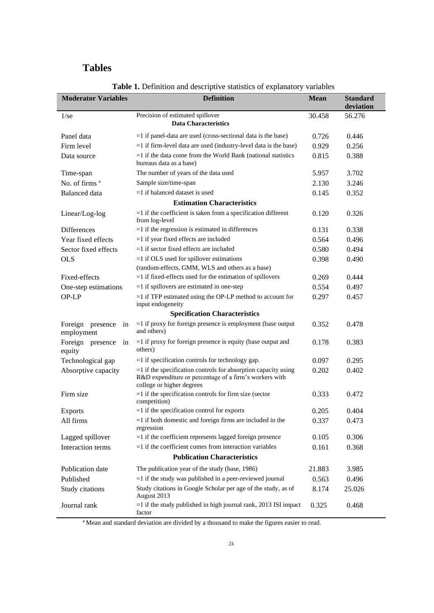# **Tables**

| <b>Moderator Variables</b>           | <b>Definition</b><br><b>Mean</b>                                                                                                                         |        | <b>Standard</b><br>deviation |  |  |
|--------------------------------------|----------------------------------------------------------------------------------------------------------------------------------------------------------|--------|------------------------------|--|--|
| $1/\text{se}$                        | Precision of estimated spillover                                                                                                                         | 30.458 | 56.276                       |  |  |
|                                      | <b>Data Characteristics</b>                                                                                                                              |        |                              |  |  |
| Panel data                           | $=$ 1 if panel-data are used (cross-sectional data is the base)                                                                                          | 0.726  | 0.446                        |  |  |
| Firm level                           | $=$ 1 if firm-level data are used (industry-level data is the base)                                                                                      | 0.929  | 0.256                        |  |  |
| Data source                          | $=$ 1 if the data come from the World Bank (national statistics<br>bureaus data as a base)                                                               | 0.815  | 0.388                        |  |  |
| Time-span                            | The number of years of the data used                                                                                                                     | 5.957  | 3.702                        |  |  |
| No. of firms <sup>a</sup>            | Sample size/time-span                                                                                                                                    | 2.130  | 3.246                        |  |  |
| <b>Balanced</b> data                 | $=1$ if balanced dataset is used                                                                                                                         | 0.145  | 0.352                        |  |  |
|                                      | <b>Estimation Characteristics</b>                                                                                                                        |        |                              |  |  |
| Linear/Log-log                       | $=$ 1 if the coefficient is taken from a specification different<br>from log-level                                                                       | 0.120  | 0.326                        |  |  |
| <b>Differences</b>                   | $=1$ if the regression is estimated in differences                                                                                                       | 0.131  | 0.338                        |  |  |
| Year fixed effects                   | $=1$ if year fixed effects are included                                                                                                                  | 0.564  | 0.496                        |  |  |
| Sector fixed effects                 | $=1$ if sector fixed effects are included                                                                                                                | 0.580  | 0.494                        |  |  |
| <b>OLS</b>                           | $=1$ if OLS used for spillover estimations                                                                                                               | 0.398  | 0.490                        |  |  |
|                                      | (random-effects, GMM, WLS and others as a base)                                                                                                          |        |                              |  |  |
| Fixed-effects                        | $=$ 1 if fixed-effects used for the estimation of spillovers                                                                                             | 0.269  | 0.444                        |  |  |
| One-step estimations                 | $=1$ if spillovers are estimated in one-step                                                                                                             | 0.554  | 0.497                        |  |  |
| OP-LP                                | $=1$ if TFP estimated using the OP-LP method to account for<br>input endogeneity                                                                         | 0.297  | 0.457                        |  |  |
|                                      | <b>Specification Characteristics</b>                                                                                                                     |        |                              |  |  |
| Foreign presence<br>in<br>employment | $=$ 1 if proxy for foreign presence is employment (base output<br>and others)                                                                            | 0.352  | 0.478                        |  |  |
| Foreign<br>presence<br>in<br>equity  | $=$ 1 if proxy for foreign presence is equity (base output and<br>others)                                                                                | 0.178  | 0.383                        |  |  |
| Technological gap                    | $=1$ if specification controls for technology gap.                                                                                                       | 0.097  | 0.295                        |  |  |
| Absorptive capacity                  | $=$ 1 if the specification controls for absorption capacity using<br>R&D expenditure or percentage of a firm's workers with<br>college or higher degrees | 0.202  | 0.402                        |  |  |
| Firm size                            | $=1$ if the specification controls for firm size (sector<br>competition)                                                                                 | 0.333  | 0.472                        |  |  |
| <b>Exports</b>                       | $=1$ if the specification control for exports                                                                                                            | 0.205  | 0.404                        |  |  |
| All firms                            | $=1$ if both domestic and foreign firms are included in the<br>regression                                                                                | 0.337  | 0.473                        |  |  |
| Lagged spillover                     | $=1$ if the coefficient represents lagged foreign presence                                                                                               | 0.105  | 0.306                        |  |  |
| Interaction terms                    | $=$ 1 if the coefficient comes from interaction variables                                                                                                | 0.161  | 0.368                        |  |  |
| <b>Publication Characteristics</b>   |                                                                                                                                                          |        |                              |  |  |
| Publication date                     | The publication year of the study (base, 1986)                                                                                                           | 21.883 | 3.985                        |  |  |
| Published                            | $=$ 1 if the study was published in a peer-reviewed journal                                                                                              | 0.563  | 0.496                        |  |  |
| Study citations                      | Study citations in Google Scholar per age of the study, as of<br>August 2013                                                                             | 8.174  | 25.026                       |  |  |
| Journal rank                         | $=$ 1 if the study published in high journal rank, 2013 ISI impact<br>factor                                                                             | 0.325  | 0.468                        |  |  |

**Table 1.** Definition and descriptive statistics of explanatory variables

<sup>a</sup> Mean and standard deviation are divided by a thousand to make the figures easier to read.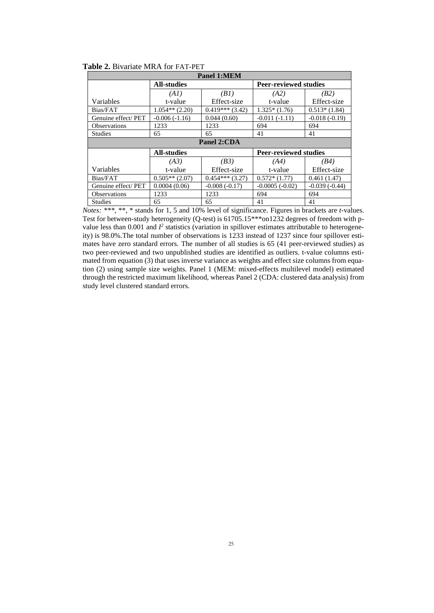| <b>Panel 1:MEM</b>  |                    |                   |                              |                 |  |  |
|---------------------|--------------------|-------------------|------------------------------|-----------------|--|--|
|                     | All-studies        |                   | <b>Peer-reviewed studies</b> |                 |  |  |
|                     | (A1)               | (B1)              | (A2)                         | (B2)            |  |  |
| Variables           | t-value            | Effect-size       | t-value                      | Effect-size     |  |  |
| Bias/FAT            | $1.054**$ (2.20)   | $0.419***$ (3.42) | $1.325*(1.76)$               | $0.513*(1.84)$  |  |  |
| Genuine effect/PET  | $-0.006(-1.16)$    | 0.044(0.60)       | $-0.011(-1.11)$              | $-0.018(-0.19)$ |  |  |
| Observations        | 1233               | 1233              | 694                          | 694             |  |  |
| <b>Studies</b>      | 65                 | 65                | 41                           | 41              |  |  |
| Panel 2:CDA         |                    |                   |                              |                 |  |  |
|                     | <b>All-studies</b> |                   | <b>Peer-reviewed studies</b> |                 |  |  |
|                     | (A3)               | (B3)              | (A4)                         | (B4)            |  |  |
| Variables           | t-value            | Effect-size       | t-value                      | Effect-size     |  |  |
| Bias/FAT            | $0.505**$ (2.07)   | $0.454***(3.27)$  | $0.572*(1.77)$               | 0.461(1.47)     |  |  |
| Genuine effect/ PET | 0.0004(0.06)       | $-0.008(-0.17)$   | $-0.0005(-0.02)$             | $-0.039(-0.44)$ |  |  |
| <b>Observations</b> | 1233               | 1233              | 694                          | 694             |  |  |
| Studies             | 65                 | 65                | 41                           | 41              |  |  |

#### **Table 2.** Bivariate MRA for FAT-PET

*Notes:* \*\*\*, \*\*, \* stands for 1, 5 and 10% level of significance. Figures in brackets are *t*-values. Test for between-study heterogeneity (Q-test) is 61705.15\*\*\*on1232 degrees of freedom with pvalue less than 0.001 and  $I<sup>2</sup>$  statistics (variation in spillover estimates attributable to heterogeneity) is 98.0%.The total number of observations is 1233 instead of 1237 since four spillover estimates have zero standard errors. The number of all studies is 65 (41 peer-reviewed studies) as two peer-reviewed and two unpublished studies are identified as outliers. t-value columns estimated from equation (3) that uses inverse variance as weights and effect size columns from equation (2) using sample size weights. Panel 1 (MEM: mixed-effects multilevel model) estimated through the restricted maximum likelihood, whereas Panel 2 (CDA: clustered data analysis) from study level clustered standard errors.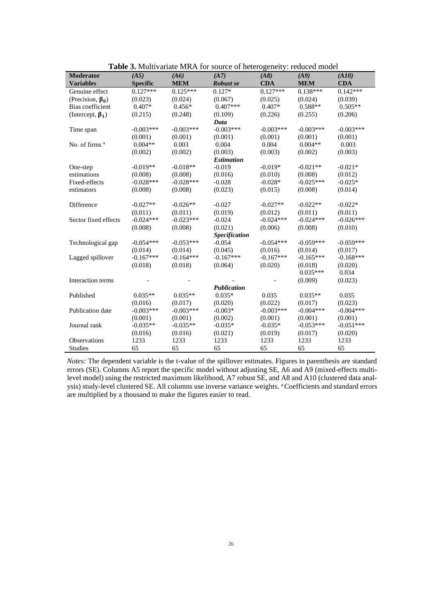| <b>Moderator</b>          | (A5)            | (A6)        | (A7)               | (A8)        | (A9)        | (A10)       |
|---------------------------|-----------------|-------------|--------------------|-------------|-------------|-------------|
| <b>Variables</b>          | <b>Specific</b> | <b>MEM</b>  | Robust se          | <b>CDA</b>  | <b>MEM</b>  | <b>CDA</b>  |
| Genuine effect            | $0.127***$      | $0.125***$  | $0.127*$           | $0.127***$  | $0.138***$  | $0.142***$  |
| (Precision, $\beta_0$ )   | (0.023)         | (0.024)     | (0.067)            | (0.025)     | (0.024)     | (0.039)     |
| Bias coefficient          | $0.407*$        | $0.456*$    | $0.407***$         | $0.407*$    | $0.588**$   | $0.505**$   |
| (Intercept, $\beta_1$ )   | (0.215)         | (0.248)     | (0.109)            | (0.226)     | (0.255)     | (0.206)     |
|                           |                 |             | Data               |             |             |             |
| Time span                 | $-0.003***$     | $-0.003***$ | $-0.003***$        | $-0.003***$ | $-0.003***$ | $-0.003***$ |
|                           | (0.001)         | (0.001)     | (0.001)            | (0.001)     | (0.001)     | (0.001)     |
| No. of firms <sup>a</sup> | $0.004**$       | 0.003       | 0.004              | 0.004       | $0.004**$   | 0.003       |
|                           | (0.002)         | (0.002)     | (0.003)            | (0.003)     | (0.002)     | (0.003)     |
|                           |                 |             | <b>Estimation</b>  |             |             |             |
| One-step                  | $-0.019**$      | $-0.018**$  | $-0.019$           | $-0.019*$   | $-0.021**$  | $-0.021*$   |
| estimations               | (0.008)         | (0.008)     | (0.016)            | (0.010)     | (0.008)     | (0.012)     |
| Fixed-effects             | $-0.028***$     | $-0.028***$ | $-0.028$           | $-0.028*$   | $-0.025***$ | $-0.025*$   |
| estimators                | (0.008)         | (0.008)     | (0.023)            | (0.015)     | (0.008)     | (0.014)     |
|                           |                 |             |                    |             |             |             |
| Difference                | $-0.027**$      | $-0.026**$  | $-0.027$           | $-0.027**$  | $-0.022**$  | $-0.022*$   |
|                           | (0.011)         | (0.011)     | (0.019)            | (0.012)     | (0.011)     | (0.011)     |
| Sector fixed effects      | $-0.024***$     | $-0.023***$ | $-0.024$           | $-0.024***$ | $-0.024***$ | $-0.026***$ |
|                           | (0.008)         | (0.008)     | (0.021)            | (0.006)     | (0.008)     | (0.010)     |
|                           |                 |             | Specification      |             |             |             |
| Technological gap         | $-0.054***$     | $-0.053***$ | $-0.054$           | $-0.054***$ | $-0.059***$ | $-0.059***$ |
|                           | (0.014)         | (0.014)     | (0.045)            | (0.016)     | (0.014)     | (0.017)     |
| Lagged spillover          | $-0.167***$     | $-0.164***$ | $-0.167***$        | $-0.167***$ | $-0.165***$ | $-0.168***$ |
|                           | (0.018)         | (0.018)     | (0.064)            | (0.020)     | (0.018)     | (0.020)     |
|                           |                 |             |                    |             | $0.035***$  | 0.034       |
| Interaction terms         |                 |             |                    |             | (0.009)     | (0.023)     |
|                           |                 |             | <b>Publication</b> |             |             |             |
| Published                 | $0.035**$       | $0.035**$   | $0.035*$           | 0.035       | $0.035**$   | 0.035       |
|                           | (0.016)         | (0.017)     | (0.020)            | (0.022)     | (0.017)     | (0.023)     |
| Publication date          | $-0.003***$     | $-0.003***$ | $-0.003*$          | $-0.003***$ | $-0.004***$ | $-0.004***$ |
|                           | (0.001)         | (0.001)     | (0.002)            | (0.001)     | (0.001)     | (0.001)     |
| Journal rank              | $-0.035**$      | $-0.035**$  | $-0.035*$          | $-0.035*$   | $-0.053***$ | $-0.051***$ |
|                           | (0.016)         | (0.016)     | (0.021)            | (0.019)     | (0.017)     | (0.020)     |
| Observations              | 1233            | 1233        | 1233               | 1233        | 1233        | 1233        |
| <b>Studies</b>            | 65              | 65          | 65                 | 65          | 65          | 65          |

**Table 3.** Multivariate MRA for source of heterogeneity: reduced model

*Notes:* The dependent variable is the t-value of the spillover estimates. Figures in parenthesis are standard errors (SE). Columns A5 report the specific model without adjusting SE, A6 and A9 (mixed-effects multilevel model) using the restricted maximum likelihood, A7 robust SE, and A8 and A10 (clustered data analysis) study-level clustered SE. All columns use inverse variance weights. <sup>a</sup>Coefficients and standard errors are multiplied by a thousand to make the figures easier to read.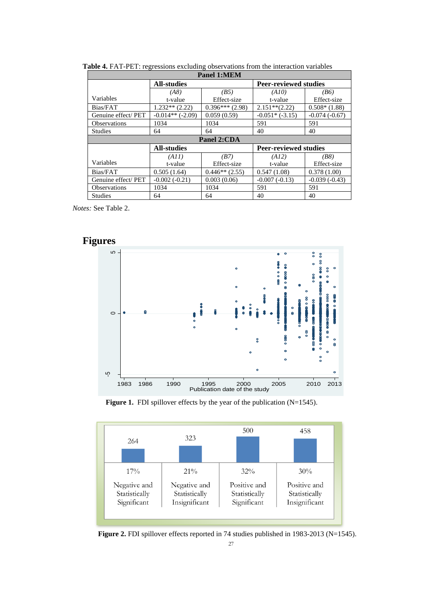| Panel 1:MEM         |                    |                  |                              |                 |  |
|---------------------|--------------------|------------------|------------------------------|-----------------|--|
|                     | <b>All-studies</b> |                  | <b>Peer-reviewed studies</b> |                 |  |
|                     | (AB)               | (B5)             | (A10)                        | (B6)            |  |
| Variables           | t-value            | Effect-size      | t-value                      | Effect-size     |  |
| Bias/FAT            | $1.232**$ (2.22)   | $0.396***(2.98)$ | $2.151**$ (2.22)             | $0.508*(1.88)$  |  |
| Genuine effect/PET  | $-0.014**(-2.09)$  | 0.059(0.59)      | $-0.051*(-3.15)$             | $-0.074(-0.67)$ |  |
| <b>Observations</b> | 1034               | 1034             | 591                          | 591             |  |
| <b>Studies</b>      | 64                 | 64               | 40                           | 40              |  |
|                     |                    | Panel 2:CDA      |                              |                 |  |
|                     | <b>All-studies</b> |                  | <b>Peer-reviewed studies</b> |                 |  |
|                     | (AII)              | (B7)             | (A12)                        | (B8)            |  |
| Variables           | t-value            | Effect-size      | t-value                      | Effect-size     |  |
| Bias/FAT            | 0.505(1.64)        | $0.446**$ (2.55) | 0.547(1.08)                  | 0.378(1.00)     |  |
| Genuine effect/PET  | $-0.002(-0.21)$    | 0.003(0.06)      | $-0.007(-0.13)$              | $-0.039(-0.43)$ |  |
| <b>Observations</b> | 1034               | 1034             | 591                          | 591             |  |
| <b>Studies</b>      | 64                 | 64               | 40                           | 40              |  |

**Table 4.** FAT-PET: regressions excluding observations from the interaction variables

*Notes:* See Table 2.



Figure 1. FDI spillover effects by the year of the publication (N=1545).



Figure 2. FDI spillover effects reported in 74 studies published in 1983-2013 (N=1545).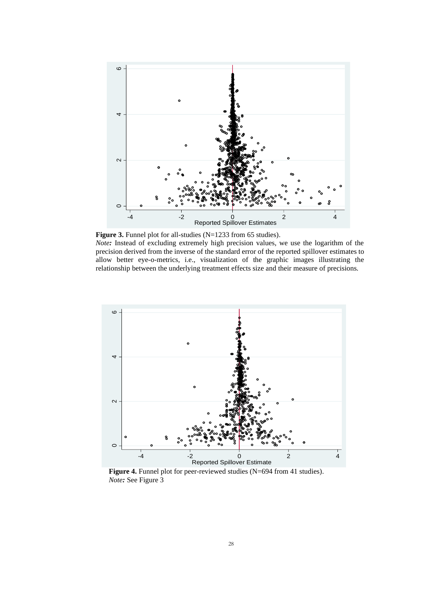

Figure 3. Funnel plot for all-studies (N=1233 from 65 studies).

*Note:* Instead of excluding extremely high precision values, we use the logarithm of the precision derived from the inverse of the standard error of the reported spillover estimates to allow better eye-o-metrics, i.e., visualization of the graphic images illustrating the relationship between the underlying treatment effects size and their measure of precisions.



Figure 4. Funnel plot for peer-reviewed studies (N=694 from 41 studies). *Note:* See Figure 3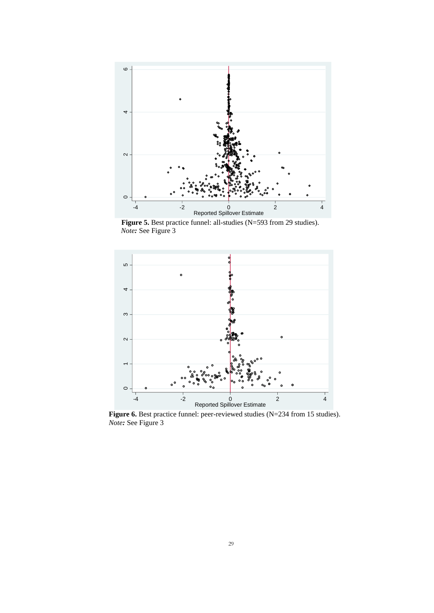

**Figure 5.** Best practice funnel: all-studies (N=593 from 29 studies).  *Note:* See Figure 3



Figure 6. Best practice funnel: peer-reviewed studies (N=234 from 15 studies). *Note:* See Figure 3